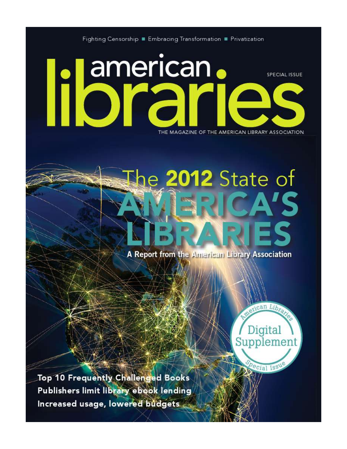Fighting Censorship **Embracing Transformation Fe** Privatization

# american. **SPECIAL ISSUE** THE MAGAZINE OF THE AMERICAN LIBRARY ASSOCIATION

e 2012 State of

A Report from the American Library Association

nican Library Digital Supplement

ecial Issu

Top 10 Frequently Challenged Books Publishers limit library ebook lending Increased usage, lowered budgets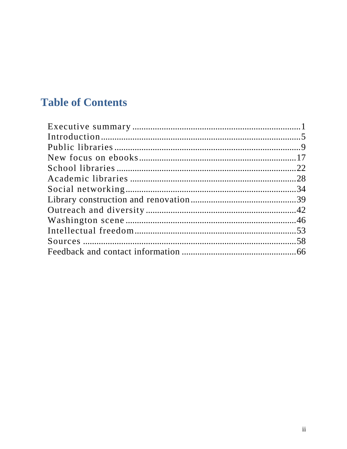### **Table of Contents**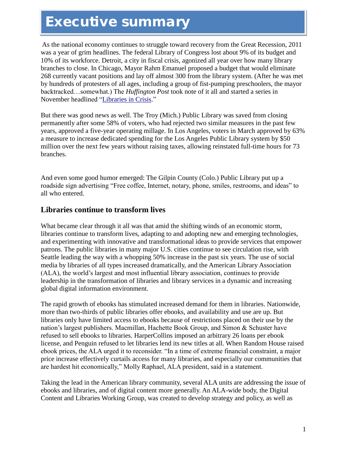## **Executive summary**

As the national economy continues to struggle toward recovery from the Great Recession, 2011 was a year of grim headlines. The federal Library of Congress lost about 9% of its budget and 10% of its workforce. Detroit, a city in fiscal crisis, agonized all year over how many library branches to close. In Chicago, Mayor Rahm Emanuel proposed a budget that would eliminate 268 currently vacant positions and lay off almost 300 from the library system. (After he was met by hundreds of protesters of all ages, including a group of fist-pumping preschoolers, the mayor backtracked…somewhat.) The *Huffington Post* took note of it all and started a series in November headlined "Libraries in Crisis."

But there was good news as well. The Troy (Mich.) Public Library was saved from closing permanently after some 58% of voters, who had rejected two similar measures in the past few years, approved a five-year operating millage. In Los Angeles, voters in March approved by 63% a measure to increase dedicated spending for the Los Angeles Public Library system by \$50 million over the next few years without raising taxes, allowing reinstated full-time hours for 73 branches.

And even some good humor emerged: The Gilpin County (Colo.) Public Library put up a roadside sign advertising "Free coffee, Internet, notary, phone, smiles, restrooms, and ideas" to all who entered.

#### **Libraries continue to transform lives**

What became clear through it all was that amid the shifting winds of an economic storm, libraries continue to transform lives, adapting to and adopting new and emerging technologies, and experimenting with innovative and transformational ideas to provide services that empower patrons. The public libraries in many major U.S. cities continue to see circulation rise, with Seattle leading the way with a whopping 50% increase in the past six years. The use of social media by libraries of all types increased dramatically, and the American Library Association (ALA), the world's largest and most influential library association, continues to provide leadership in the transformation of libraries and library services in a dynamic and increasing global digital information environment.

The rapid growth of ebooks has stimulated increased demand for them in libraries. Nationwide, more than two-thirds of public libraries offer ebooks, and availability and use are up. But libraries only have limited access to ebooks because of restrictions placed on their use by the nation's largest publishers. Macmillan, Hachette Book Group, and Simon & Schuster have refused to sell ebooks to libraries. HarperCollins imposed an arbitrary 26 loans per ebook license, and Penguin refused to let libraries lend its new titles at all. When Random House raised ebook prices, the ALA urged it to reconsider. "In a time of extreme financial constraint, a major price increase effectively curtails access for many libraries, and especially our communities that are hardest hit economically," Molly Raphael, ALA president, said in a statement.

Taking the lead in the American library community, several ALA units are addressing the issue of ebooks and libraries, and of digital content more generally. An ALA-wide body, the Digital Content and Libraries Working Group, was created to develop strategy and policy, as well as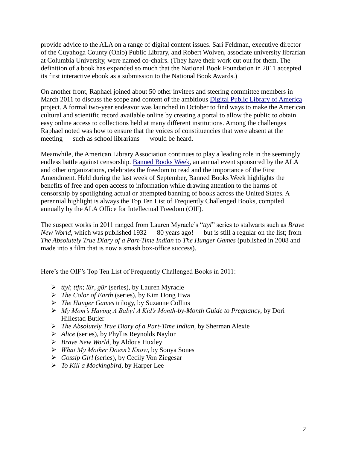provide advice to the ALA on a range of digital content issues. Sari Feldman, executive director of the Cuyahoga County (Ohio) Public Library, and Robert Wolven, associate university librarian at Columbia University, were named co-chairs. (They have their work cut out for them. The definition of a book has expanded so much that the National Book Foundation in 2011 accepted its first interactive ebook as a submission to the National Book Awards.)

On another front, Raphael joined about 50 other invitees and steering committee members in March 2011 to discuss the scope and content of the ambitious [Digital Public Library of](http://dp.la/) America project. A formal two-year endeavor was launched in October to find ways to make the American cultural and scientific record available online by creating a portal to allow the public to obtain easy online access to collections held at many different institutions. Among the challenges Raphael noted was how to ensure that the voices of constituencies that were absent at the meeting — such as school librarians — would be heard.

Meanwhile, the American Library Association continues to play a leading role in the seemingly endless battle against censorship. [Banned Books Week,](http://www.ala.org/advocacy/banned/bannedbooksweek) an annual event sponsored by the ALA and other organizations, celebrates the freedom to read and the importance of the First Amendment. Held during the last week of September, Banned Books Week highlights the benefits of free and open access to information while drawing attention to the harms of censorship by spotlighting actual or attempted banning of books across the United States. A perennial highlight is always the Top Ten List of Frequently Challenged Books, compiled annually by the ALA Office for Intellectual Freedom (OIF).

The suspect works in 2011 ranged from Lauren Myracle's "*ttyl*" series to stalwarts such as *Brave New World*, which was published 1932 — 80 years ago! — but is still a regular on the list; from *The Absolutely True Diary of a Part-Time Indian* to *The Hunger Games* (published in 2008 and made into a film that is now a smash box-office success).

Here's the OIF's Top Ten List of Frequently Challenged Books in 2011:

- *ttyl*; *ttfn*; *l8r*, *g8r* (series), by Lauren Myracle
- *The Color of Earth* (series), by Kim Dong Hwa
- *The Hunger Games* trilogy, by Suzanne Collins
- *My Mom's Having A Baby! A Kid's Month-by-Month Guide to Pregnancy*, by Dori Hillestad Butler
- *The Absolutely True Diary of a Part-Time Indian*, by Sherman Alexie
- *Alice* (series), by Phyllis Reynolds Naylor
- *Brave New World*, by Aldous Huxley
- *What My Mother Doesn't Know*, by Sonya Sones
- *Gossip Girl* (series), by Cecily Von Ziegesar
- *To Kill a Mockingbird*, by Harper Lee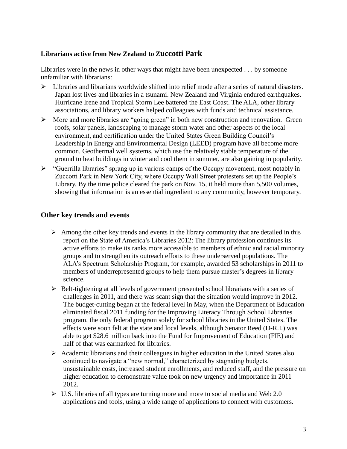#### **Librarians active from New Zealand to Zuccotti Park**

Libraries were in the news in other ways that might have been unexpected . . . by someone unfamiliar with librarians:

- Libraries and librarians worldwide shifted into relief mode after a series of natural disasters. Japan lost lives and libraries in a tsunami. New Zealand and Virginia endured earthquakes. Hurricane Irene and Tropical Storm Lee battered the East Coast. The ALA, other library associations, and library workers helped colleagues with funds and technical assistance.
- $\triangleright$  More and more libraries are "going green" in both new construction and renovation. Green roofs, solar panels, landscaping to manage storm water and other aspects of the local environment, and certification under the United States Green Building Council's Leadership in Energy and Environmental Design (LEED) program have all become more common. Geothermal well systems, which use the relatively stable temperature of the ground to heat buildings in winter and cool them in summer, are also gaining in popularity.
- $\triangleright$  "Guerrilla libraries" sprang up in various camps of the Occupy movement, most notably in Zuccotti Park in New York City, where Occupy Wall Street protesters set up the People's Library. By the time police cleared the park on Nov. 15, it held more than 5,500 volumes, showing that information is an essential ingredient to any community, however temporary.

#### **Other key trends and events**

- $\triangleright$  Among the other key trends and events in the library community that are detailed in this report on the State of America's Libraries 2012: The library profession continues its active efforts to make its ranks more accessible to members of ethnic and racial minority groups and to strengthen its outreach efforts to these underserved populations. The ALA's Spectrum Scholarship Program, for example, awarded 53 scholarships in 2011 to members of underrepresented groups to help them pursue master's degrees in library science.
- $\triangleright$  Belt-tightening at all levels of government presented school librarians with a series of challenges in 2011, and there was scant sign that the situation would improve in 2012. The budget-cutting began at the federal level in May, when the Department of Education eliminated fiscal 2011 funding for the Improving Literacy Through School Libraries program, the only federal program solely for school libraries in the United States. The effects were soon felt at the state and local levels, although Senator Reed (D-R.I.) was able to get \$28.6 million back into the Fund for Improvement of Education (FIE) and half of that was earmarked for libraries.
- $\triangleright$  Academic librarians and their colleagues in higher education in the United States also continued to navigate a "new normal," characterized by stagnating budgets, unsustainable costs, increased student enrollments, and reduced staff, and the pressure on higher education to demonstrate value took on new urgency and importance in 2011– 2012.
- $\triangleright$  U.S. libraries of all types are turning more and more to social media and Web 2.0 applications and tools, using a wide range of applications to connect with customers.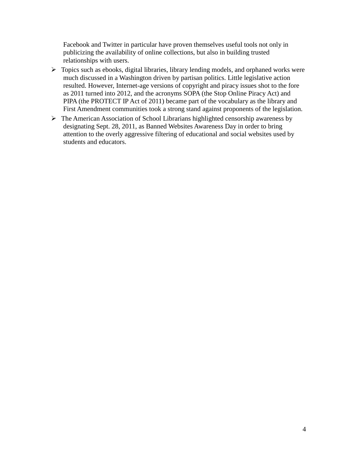Facebook and Twitter in particular have proven themselves useful tools not only in publicizing the availability of online collections, but also in building trusted relationships with users.

- $\triangleright$  Topics such as ebooks, digital libraries, library lending models, and orphaned works were much discussed in a Washington driven by partisan politics. Little legislative action resulted. However, Internet-age versions of copyright and piracy issues shot to the fore as 2011 turned into 2012, and the acronyms SOPA (the Stop Online Piracy Act) and PIPA (the PROTECT IP Act of 2011) became part of the vocabulary as the library and First Amendment communities took a strong stand against proponents of the legislation.
- The American Association of School Librarians highlighted censorship awareness by designating Sept. 28, 2011, as Banned Websites Awareness Day in order to bring attention to the overly aggressive filtering of educational and social websites used by students and educators.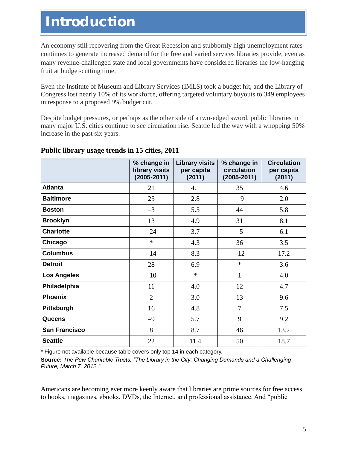### **Introduction**

An economy still recovering from the Great Recession and stubbornly high unemployment rates continues to generate increased demand for the free and varied services libraries provide, even as many revenue-challenged state and local governments have considered libraries the low-hanging fruit at budget-cutting time.

Even the Institute of Museum and Library Services (IMLS) took a budget hit, and the Library of Congress lost nearly 10% of its workforce, offering targeted voluntary buyouts to 349 employees in response to a proposed 9% budget cut.

Despite budget pressures, or perhaps as the other side of a two-edged sword, public libraries in many major U.S. cities continue to see circulation rise. Seattle led the way with a whopping 50% increase in the past six years.

|                      | % change in<br>library visits<br>$(2005 - 2011)$ | <b>Library visits</b><br>per capita<br>(2011) | % change in<br>circulation<br>$(2005 - 2011)$ | <b>Circulation</b><br>per capita<br>(2011) |
|----------------------|--------------------------------------------------|-----------------------------------------------|-----------------------------------------------|--------------------------------------------|
| <b>Atlanta</b>       | 21                                               | 4.1                                           | 35                                            | 4.6                                        |
| <b>Baltimore</b>     | 25                                               | 2.8                                           | $-9$                                          | 2.0                                        |
| <b>Boston</b>        | $-3$                                             | 5.5                                           | 44                                            | 5.8                                        |
| <b>Brooklyn</b>      | 13                                               | 4.9                                           | 31                                            | 8.1                                        |
| <b>Charlotte</b>     | $-24$                                            | 3.7                                           | $-5$                                          | 6.1                                        |
| Chicago              | $\ast$                                           | 4.3                                           | 36                                            | 3.5                                        |
| <b>Columbus</b>      | $-14$                                            | 8.3                                           | $-12$                                         | 17.2                                       |
| <b>Detroit</b>       | 28                                               | 6.9                                           | $\ast$                                        | 3.6                                        |
| <b>Los Angeles</b>   | $-10$                                            | $\ast$                                        | $\mathbf{1}$                                  | 4.0                                        |
| Philadelphia         | 11                                               | 4.0                                           | 12                                            | 4.7                                        |
| <b>Phoenix</b>       | $\overline{2}$                                   | 3.0                                           | 13                                            | 9.6                                        |
| Pittsburgh           | 16                                               | 4.8                                           | 7                                             | 7.5                                        |
| <b>Queens</b>        | $-9$                                             | 5.7                                           | 9                                             | 9.2                                        |
| <b>San Francisco</b> | 8                                                | 8.7                                           | 46                                            | 13.2                                       |
| <b>Seattle</b>       | 22                                               | 11.4                                          | 50                                            | 18.7                                       |

#### **Public library usage trends in 15 cities, 2011**

\* Figure not available because table covers only top 14 in each category.

Source: The Pew Charitable Trusts, "The Library in the City: Changing Demands and a Challenging *Future, March 7, 2012.‖*

Americans are becoming ever more keenly aware that libraries are prime sources for free access to books, magazines, ebooks, DVDs, the Internet, and professional assistance. And "public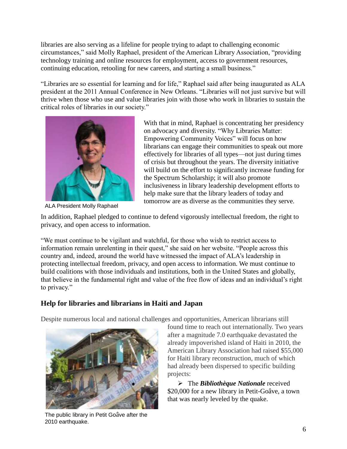libraries are also serving as a lifeline for people trying to adapt to challenging economic circumstances," said Molly Raphael, president of the American Library Association, "providing technology training and online resources for employment, access to government resources, continuing education, retooling for new careers, and starting a small business."

"Libraries are so essential for learning and for life," Raphael said after being inaugurated as ALA president at the 2011 Annual Conference in New Orleans. "Libraries will not just survive but will thrive when those who use and value libraries join with those who work in libraries to sustain the critical roles of libraries in our society."



ALA President Molly Raphael

With that in mind, Raphael is concentrating her presidency on advocacy and diversity. "Why Libraries Matter: Empowering Community Voices" will focus on how librarians can engage their communities to speak out more effectively for libraries of all types—not just during times of crisis but throughout the years. The diversity initiative will build on the effort to significantly increase funding for the Spectrum Scholarship; it will also promote inclusiveness in library leadership development efforts to help make sure that the library leaders of today and tomorrow are as diverse as the communities they serve.

In addition, Raphael pledged to continue to defend vigorously intellectual freedom, the right to privacy, and open access to information.

―We must continue to be vigilant and watchful, for those who wish to restrict access to information remain unrelenting in their quest," she said on her website. "People across this country and, indeed, around the world have witnessed the impact of ALA's leadership in protecting intellectual freedom, privacy, and open access to information. We must continue to build coalitions with those individuals and institutions, both in the United States and globally, that believe in the fundamental right and value of the free flow of ideas and an individual's right to privacy."

#### **Help for libraries and librarians in Haiti and Japan**

Despite numerous local and national challenges and opportunities, American librarians still



The public library in Petit Goâve after the 2010 earthquake.

found time to reach out internationally. Two years after a magnitude 7.0 earthquake devastated the already impoverished island of Haiti in 2010, the American Library Association had raised \$55,000 for Haiti library reconstruction, much of which had already been dispersed to specific building projects:

 The *Bibliothèque Nationale* received \$20,000 for a new library in Petit-Goâve, a town that was nearly leveled by the quake.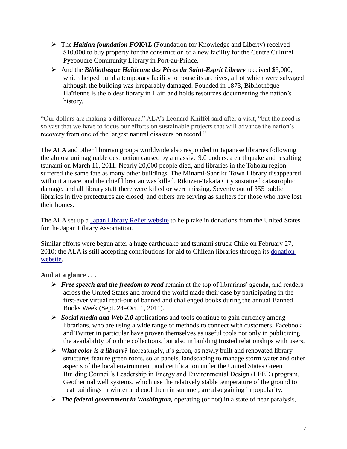- The *Haitian foundation FOKAL* (Foundation for Knowledge and Liberty) received \$10,000 to buy property for the construction of a new facility for the Centre Culturel Pyepoudre Community Library in Port-au-Prince.
- And the *Bibliothèque Haïtienne des Pères du Saint-Esprit Library* received \$5,000, which helped build a temporary facility to house its archives, all of which were salvaged although the building was irreparably damaged*.* Founded in 1873, Bibliothèque Haïtienne is the oldest library in Haiti and holds resources documenting the nation's history.

"Our dollars are making a difference," ALA's Leonard Kniffel said after a visit, "but the need is so vast that we have to focus our efforts on sustainable projects that will advance the nation's recovery from one of the largest natural disasters on record."

The ALA and other librarian groups worldwide also responded to Japanese libraries following the almost unimaginable destruction caused by a massive 9.0 undersea earthquake and resulting tsunami on March 11, 2011. Nearly 20,000 people died, and libraries in the Tohoku region suffered the same fate as many other buildings. The Minami-Sanriku Town Library disappeared without a trace, and the chief librarian was killed. Rikuzen-Takata City sustained catastrophic damage, and all library staff there were killed or were missing. Seventy out of 355 public libraries in five prefectures are closed, and others are serving as shelters for those who have lost their homes.

The ALA set up a [Japan Library Relief website](http://www.ala.org/offices/iro/iroactivities/japanrelieffund) to help take in donations from the United States for the Japan Library Association.

Similar efforts were begun after a huge earthquake and tsunami struck Chile on February 27, 2010; the ALA is still accepting contributions for aid to Chilean libraries through its [donation](http://www.ala.org/offices/iro/iroactivities/chilerelieffund)  [website.](http://www.ala.org/offices/iro/iroactivities/chilerelieffund)

**And at a glance . . .** 

- *Free speech and the freedom to read* remain at the top of librarians' agenda, and readers across the United States and around the world made their case by participating in the first-ever virtual read-out of banned and challenged books during the annual Banned Books Week (Sept. 24–Oct. 1, 2011).
- *Social media and Web 2.0* applications and tools continue to gain currency among librarians, who are using a wide range of methods to connect with customers. Facebook and Twitter in particular have proven themselves as useful tools not only in publicizing the availability of online collections, but also in building trusted relationships with users.
- *What color is a library?* Increasingly, it's green, as newly built and renovated library structures feature green roofs, solar panels, landscaping to manage storm water and other aspects of the local environment, and certification under the United States Green Building Council's Leadership in Energy and Environmental Design (LEED) program. Geothermal well systems, which use the relatively stable temperature of the ground to heat buildings in winter and cool them in summer, are also gaining in popularity.
- *The federal government in Washington,* operating (or not) in a state of near paralysis,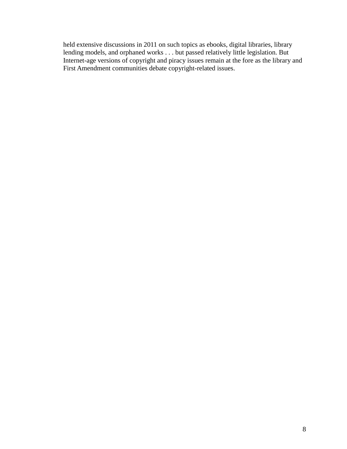held extensive discussions in 2011 on such topics as ebooks, digital libraries, library lending models, and orphaned works . . . but passed relatively little legislation. But Internet-age versions of copyright and piracy issues remain at the fore as the library and First Amendment communities debate copyright-related issues.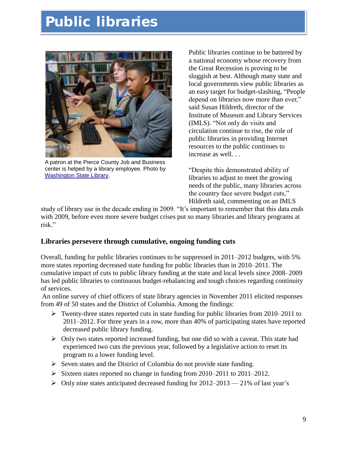## **Public libraries**



A patron at the Pierce County Job and Business center is helped by a library employee. Photo by [Washington State Library.](http://www.flickr.com/photos/wsl-libdev/5669801577/in/photostream/#/)

Public libraries continue to be battered by a national economy whose recovery from the Great Recession is proving to be sluggish at best. Although many state and local governments view public libraries as an easy target for budget-slashing, "People" depend on libraries now more than ever," said Susan Hildreth, director of the Institute of Museum and Library Services (IMLS). "Not only do visits and circulation continue to rise, the role of public libraries in providing Internet resources to the public continues to increase as well. . .

―Despite this demonstrated ability of libraries to adjust to meet the growing needs of the public, many libraries across the country face severe budget cuts," Hildreth said, commenting on an IMLS

study of library use in the decade ending in 2009. "It's important to remember that this data ends with 2009, before even more severe budget crises put so many libraries and library programs at risk."

#### **Libraries persevere through cumulative, ongoing funding cuts**

Overall, funding for public libraries continues to be suppressed in 2011–2012 budgets, with 5% more states reporting decreased state funding for public libraries than in 2010–2011. The cumulative impact of cuts to public library funding at the state and local levels since 2008–2009 has led public libraries to continuous budget-rebalancing and tough choices regarding continuity of services.

An online survey of chief officers of state library agencies in November 2011 elicited responses from 49 of 50 states and the District of Columbia. Among the findings:

- $\triangleright$  Twenty-three states reported cuts in state funding for public libraries from 2010–2011 to 2011–2012. For three years in a row, more than 40% of participating states have reported decreased public library funding.
- $\triangleright$  Only two states reported increased funding, but one did so with a caveat. This state had experienced two cuts the previous year, followed by a legislative action to reset its program to a lower funding level.
- $\triangleright$  Seven states and the District of Columbia do not provide state funding.
- $\triangleright$  Sixteen states reported no change in funding from 2010–2011 to 2011–2012.
- $\triangleright$  Only nine states anticipated decreased funding for 2012–2013 21% of last year's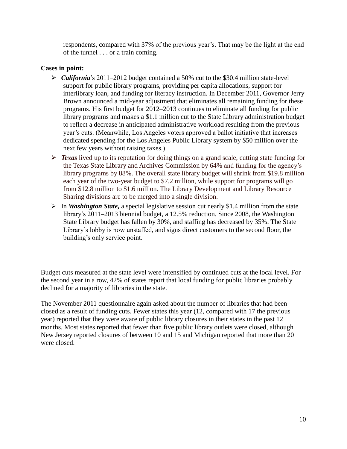respondents, compared with 37% of the previous year's. That may be the light at the end of the tunnel . . . or a train coming.

#### **Cases in point:**

- *California*'s 2011–2012 budget contained a 50% cut to the \$30.4 million state-level support for public library programs, providing per capita allocations, support for interlibrary loan, and funding for literacy instruction. In December 2011, Governor Jerry Brown announced a mid-year adjustment that eliminates all remaining funding for these programs. His first budget for 2012–2013 continues to eliminate all funding for public library programs and makes a \$1.1 million cut to the State Library administration budget to reflect a decrease in anticipated administrative workload resulting from the previous year's cuts. (Meanwhile, Los Angeles voters approved a ballot initiative that increases dedicated spending for the Los Angeles Public Library system by \$50 million over the next few years without raising taxes.)
- **Fexas** lived up to its reputation for doing things on a grand scale, cutting state funding for the Texas State Library and Archives Commission by 64% and funding for the agency's library programs by 88%. The overall state library budget will shrink from \$19.8 million each year of the two-year budget to \$7.2 million, while support for programs will go from \$12.8 million to \$1.6 million. The Library Development and Library Resource Sharing divisions are to be merged into a single division.
- In *Washington State,* a special legislative session cut nearly \$1.4 million from the state library's 2011–2013 biennial budget, a 12.5% reduction. Since 2008, the Washington State Library budget has fallen by 30%, and staffing has decreased by 35%. The State Library's lobby is now unstaffed, and signs direct customers to the second floor, the building's only service point.

Budget cuts measured at the state level were intensified by continued cuts at the local level. For the second year in a row, 42% of states report that local funding for public libraries probably declined for a majority of libraries in the state.

The November 2011 questionnaire again asked about the number of libraries that had been closed as a result of funding cuts. Fewer states this year (12, compared with 17 the previous year) reported that they were aware of public library closures in their states in the past 12 months. Most states reported that fewer than five public library outlets were closed, although New Jersey reported closures of between 10 and 15 and Michigan reported that more than 20 were closed.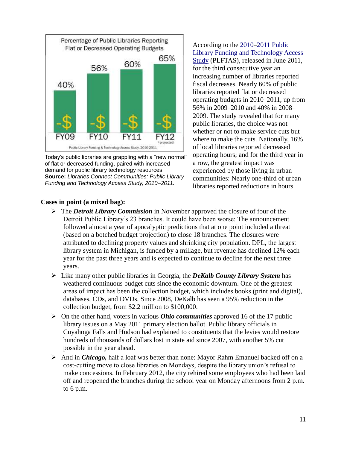

Today"s public libraries are grappling with a "new normal" of flat or decreased funding, paired with increased demand for public library technology resources. **Source:** *Libraries Connect Communities: Public Library Funding and Technology Access Study, 2010–2011.*

#### **Cases in point (a mixed bag):**

According to the 2010–[2011 Public](http://www.ala.org/research/initiatives/plftas)  [Library Funding and](http://www.ala.org/research/initiatives/plftas) Technology Access [Study](http://www.ala.org/research/initiatives/plftas) (PLFTAS), released in June 2011, for the third consecutive year an increasing number of libraries reported fiscal decreases. Nearly 60% of public libraries reported flat or decreased operating budgets in 2010–2011, up from 56% in 2009–2010 and 40% in 2008– 2009. The study revealed that for many public libraries, the choice was not whether or not to make service cuts but where to make the cuts. Nationally, 16% of local libraries reported decreased operating hours; and for the third year in a row, the greatest impact was experienced by those living in urban communities: Nearly one-third of urban libraries reported reductions in hours.

- The *Detroit Library Commission* in November approved the closure of four of the Detroit Public Library's 23 branches. It could have been worse: The announcement followed almost a year of apocalyptic predictions that at one point included a threat (based on a botched budget projection) to close 18 branches. The closures were attributed to declining property values and shrinking city population. DPL, the largest library system in Michigan, is funded by a millage, but revenue has declined 12% each year for the past three years and is expected to continue to decline for the next three years.
- Like many other public libraries in Georgia, the *DeKalb County Library System* has weathered continuous budget cuts since the economic downturn. One of the greatest areas of impact has been the collection budget, which includes books (print and digital), databases, CDs, and DVDs. Since 2008, DeKalb has seen a 95% reduction in the collection budget, from \$2.2 million to \$100,000.
- $\triangleright$  On the other hand, voters in various *Ohio communities* approved 16 of the 17 public library issues on a May 2011 primary election ballot. Public library officials in Cuyahoga Falls and Hudson had explained to constituents that the levies would restore hundreds of thousands of dollars lost in state aid since 2007, with another 5% cut possible in the year ahead.
- And in *Chicago*, half a loaf was better than none: Mayor Rahm Emanuel backed off on a cost-cutting move to close libraries on Mondays, despite the library union's refusal to make concessions. In February 2012, the city rehired some employees who had been laid off and reopened the branches during the school year on Monday afternoons from 2 p.m. to 6 p.m.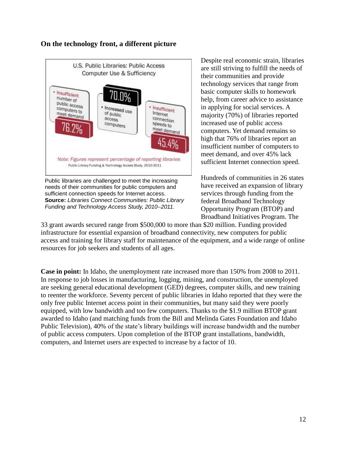#### **On the technology front, a different picture**



Public libraries are challenged to meet the increasing needs of their communities for public computers and sufficient connection speeds for Internet access. **Source:** *Libraries Connect Communities: Public Library Funding and Technology Access Study, 2010–2011.*

Despite real economic strain, libraries are still striving to fulfill the needs of their communities and provide technology services that range from basic computer skills to homework help, from career advice to assistance in applying for social services. A majority (70%) of libraries reported increased use of public access computers. Yet demand remains so high that 76% of libraries report an insufficient number of computers to meet demand, and over 45% lack sufficient Internet connection speed.

Hundreds of communities in 26 states have received an expansion of library services through funding from the federal Broadband Technology Opportunity Program (BTOP) and Broadband Initiatives Program. The

33 grant awards secured range from \$500,000 to more than \$20 million. Funding provided infrastructure for essential expansion of broadband connectivity, new computers for public access and training for library staff for maintenance of the equipment, and a wide range of online resources for job seekers and students of all ages.

**Case in point:** In Idaho, the unemployment rate increased more than 150% from 2008 to 2011. In response to job losses in manufacturing, logging, mining, and construction, the unemployed are seeking general educational development (GED) degrees, computer skills, and new training to reenter the workforce. Seventy percent of public libraries in Idaho reported that they were the only free public Internet access point in their communities, but many said they were poorly equipped, with low bandwidth and too few computers. Thanks to the \$1.9 million BTOP grant awarded to Idaho (and matching funds from the Bill and Melinda Gates Foundation and Idaho Public Television), 40% of the state's library buildings will increase bandwidth and the number of public access computers. Upon completion of the BTOP grant installations, bandwidth, computers, and Internet users are expected to increase by a factor of 10.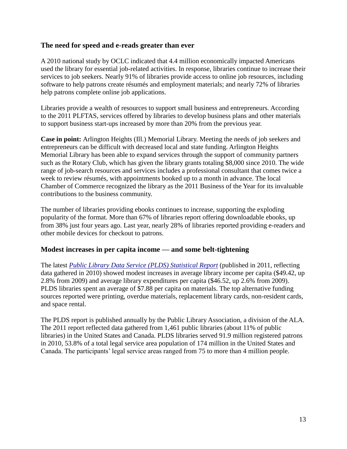#### **The need for speed and e-reads greater than ever**

A 2010 national study by OCLC indicated that 4.4 million economically impacted Americans used the library for essential job-related activities. In response, libraries continue to increase their services to job seekers. Nearly 91% of libraries provide access to online job resources, including software to help patrons create résumés and employment materials; and nearly 72% of libraries help patrons complete online job applications.

Libraries provide a wealth of resources to support small business and entrepreneurs. According to the 2011 PLFTAS, services offered by libraries to develop business plans and other materials to support business start-ups increased by more than 20% from the previous year.

**Case in point:** Arlington Heights (Ill.) Memorial Library. Meeting the needs of job seekers and entrepreneurs can be difficult with decreased local and state funding. Arlington Heights Memorial Library has been able to expand services through the support of community partners such as the Rotary Club, which has given the library grants totaling \$8,000 since 2010. The wide range of job-search resources and services includes a professional consultant that comes twice a week to review résumés, with appointments booked up to a month in advance. The local Chamber of Commerce recognized the library as the 2011 Business of the Year for its invaluable contributions to the business community.

The number of libraries providing ebooks continues to increase, supporting the exploding popularity of the format. More than 67% of libraries report offering downloadable ebooks, up from 38% just four years ago. Last year, nearly 28% of libraries reported providing e-readers and other mobile devices for checkout to patrons.

#### **Modest increases in per capita income — and some belt-tightening**

The latest *[Public Library Data Service \(PLDS\) Statistical Report](http://www.ala.org/pla/publications/plds)* (published in 2011, reflecting data gathered in 2010) showed modest increases in average library income per capita (\$49.42, up 2.8% from 2009) and average library expenditures per capita (\$46.52, up 2.6% from 2009). PLDS libraries spent an average of \$7.88 per capita on materials. The top alternative funding sources reported were printing, overdue materials, replacement library cards, non-resident cards, and space rental.

The PLDS report is published annually by the Public Library Association, a division of the ALA. The 2011 report reflected data gathered from 1,461 public libraries (about 11% of public libraries) in the United States and Canada. PLDS libraries served 91.9 million registered patrons in 2010, 53.8% of a total legal service area population of 174 million in the United States and Canada. The participants' legal service areas ranged from 75 to more than 4 million people.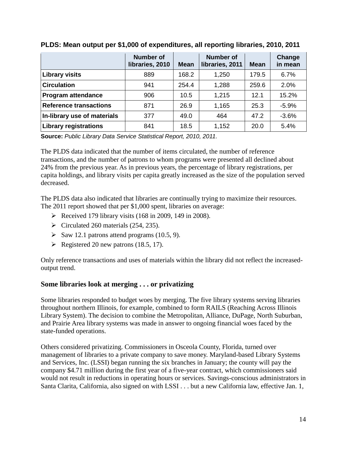|                               | <b>Number of</b><br>libraries, 2010 | <b>Mean</b> | <b>Number of</b><br>libraries, 2011 | <b>Mean</b> | <b>Change</b><br>in mean |
|-------------------------------|-------------------------------------|-------------|-------------------------------------|-------------|--------------------------|
| <b>Library visits</b>         | 889                                 | 168.2       | 1,250                               | 179.5       | 6.7%                     |
| <b>Circulation</b>            | 941                                 | 254.4       | 1,288                               | 259.6       | 2.0%                     |
| <b>Program attendance</b>     | 906                                 | 10.5        | 1,215                               | 12.1        | 15.2%                    |
| <b>Reference transactions</b> | 871                                 | 26.9        | 1,165                               | 25.3        | $-5.9%$                  |
| In-library use of materials   | 377                                 | 49.0        | 464                                 | 47.2        | $-3.6%$                  |
| <b>Library registrations</b>  | 841                                 | 18.5        | 1,152                               | 20.0        | 5.4%                     |

#### **PLDS: Mean output per \$1,000 of expenditures, all reporting libraries, 2010, 2011**

**Source:** *Public Library Data Service Statistical Report, 2010, 2011.*

The PLDS data indicated that the number of items circulated, the number of reference transactions, and the number of patrons to whom programs were presented all declined about 24% from the previous year. As in previous years, the percentage of library registrations, per capita holdings, and library visits per capita greatly increased as the size of the population served decreased.

The PLDS data also indicated that libraries are continually trying to maximize their resources. The 2011 report showed that per \$1,000 spent, libraries on average:

- Received 179 library visits  $(168 \text{ in } 2009, 149 \text{ in } 2008)$ .
- $\triangleright$  Circulated 260 materials (254, 235).
- $\triangleright$  Saw 12.1 patrons attend programs (10.5, 9).
- $\triangleright$  Registered 20 new patrons (18.5, 17).

Only reference transactions and uses of materials within the library did not reflect the increasedoutput trend.

#### **Some libraries look at merging . . . or privatizing**

Some libraries responded to budget woes by merging. The five library systems serving libraries throughout northern Illinois, for example, combined to form RAILS (Reaching Across Illinois Library System). The decision to combine the Metropolitan, Alliance, DuPage, North Suburban, and Prairie Area library systems was made in answer to ongoing financial woes faced by the state-funded operations.

Others considered privatizing. Commissioners in Osceola County, Florida, turned over management of libraries to a private company to save money. Maryland-based Library Systems and Services, Inc. (LSSI) began running the six branches in January; the county will pay the company \$4.71 million during the first year of a five-year contract, which commissioners said would not result in reductions in operating hours or services. Savings-conscious administrators in Santa Clarita, California, also signed on with LSSI . . . but a new California law, effective Jan. 1,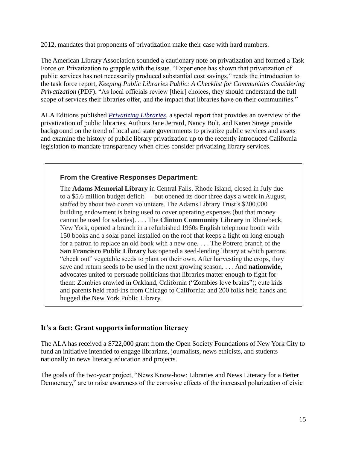2012, mandates that proponents of privatization make their case with hard numbers.

The American Library Association sounded a cautionary note on privatization and formed a Task Force on Privatization to grapple with the issue. "Experience has shown that privatization of public services has not necessarily produced substantial cost savings," reads the introduction to the task force report, *Keeping Public Libraries Public: A Checklist for Communities Considering Privatization* (PDF). "As local officials review [their] choices, they should understand the full scope of services their libraries offer, and the impact that libraries have on their communities."

ALA Editions published *[Privatizing Libraries](http://www.alastore.ala.org/detail.aspx?ID=3431)*, a special report that provides an overview of the privatization of public libraries. Authors Jane Jerrard, Nancy Bolt, and Karen Strege provide background on the trend of local and state governments to privatize public services and assets and examine the history of public library privatization up to the recently introduced California legislation to mandate transparency when cities consider privatizing library services.

#### **From the Creative Responses Department:**

The **Adams Memorial Library** in Central Falls, Rhode Island, closed in July due to a \$5.6 million budget deficit — but opened its door three days a week in August, staffed by about two dozen volunteers. The Adams Library Trust's \$200,000 building endowment is being used to cover operating expenses (but that money cannot be used for salaries). . . . The **Clinton Community Library** in Rhinebeck, New York, opened a branch in a refurbished 1960s English telephone booth with 150 books and a solar panel installed on the roof that keeps a light on long enough for a patron to replace an old book with a new one. . . . The Potrero branch of the **San Francisco Public Library** has opened a seed-lending library at which patrons "check out" vegetable seeds to plant on their own. After harvesting the crops, they save and return seeds to be used in the next growing season. . . . And **nationwide,** advocates united to persuade politicians that libraries matter enough to fight for them: Zombies crawled in Oakland, California ("Zombies love brains"); cute kids and parents held read-ins from Chicago to California; and 200 folks held hands and hugged the New York Public Library.

#### **It's a fact: Grant supports information literacy**

The ALA has received a \$722,000 grant from the Open Society Foundations of New York City to fund an initiative intended to engage librarians, journalists, news ethicists, and students nationally in news literacy education and projects.

The goals of the two-year project, "News Know-how: Libraries and News Literacy for a Better Democracy," are to raise awareness of the corrosive effects of the increased polarization of civic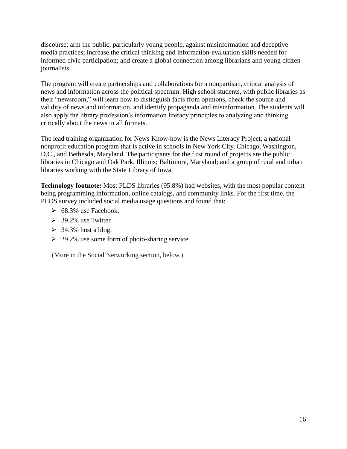discourse; arm the public, particularly young people, against misinformation and deceptive media practices; increase the critical thinking and information-evaluation skills needed for informed civic participation; and create a global connection among librarians and young citizen journalists.

The program will create partnerships and collaborations for a nonpartisan, critical analysis of news and information across the political spectrum. High school students, with public libraries as their "newsroom," will learn how to distinguish facts from opinions, check the source and validity of news and information, and identify propaganda and misinformation. The students will also apply the library profession's information literacy principles to analyzing and thinking critically about the news in all formats.

The lead training organization for News Know-how is the News Literacy Project, a national nonprofit education program that is active in schools in New York City, Chicago, Washington, D.C., and Bethesda, Maryland. The participants for the first round of projects are the public libraries in Chicago and Oak Park, Illinois; Baltimore, Maryland; and a group of rural and urban libraries working with the State Library of Iowa.

**Technology footnote:** Most PLDS libraries (95.8%) had websites, with the most popular content being programming information, online catalogs, and community links. For the first time, the PLDS survey included social media usage questions and found that:

- $\geq 68.3\%$  use Facebook.
- $\geq$  39.2% use Twitter.
- $\geq$  34.3% host a blog.
- $\geq 29.2\%$  use some form of photo-sharing service.

(More in the Social Networking section, below.)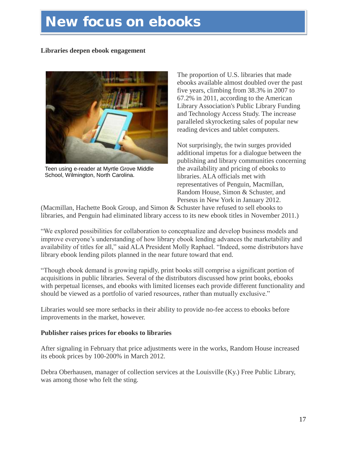### **New focus on ebooks**

#### **Libraries deepen ebook engagement**



Teen using e-reader at Myrtle Grove Middle School, Wilmington, North Carolina.

The proportion of U.S. libraries that made ebooks available almost doubled over the past five years, climbing from 38.3% in 2007 to 67.2% in 2011, according to the American Library Association's Public Library Funding and Technology Access Study. The increase paralleled skyrocketing sales of popular new reading devices and tablet computers.

Not surprisingly, the twin surges provided additional impetus for a dialogue between the publishing and library communities concerning the availability and pricing of ebooks to libraries. ALA officials met with representatives of Penguin, Macmillan, Random House, Simon & Schuster, and Perseus in New York in January 2012.

(Macmillan, Hachette Book Group, and Simon & Schuster have refused to sell ebooks to libraries, and Penguin had eliminated library access to its new ebook titles in November 2011.)

―We explored possibilities for collaboration to conceptualize and develop business models and improve everyone's understanding of how library ebook lending advances the marketability and availability of titles for all," said ALA President Molly Raphael. "Indeed, some distributors have library ebook lending pilots planned in the near future toward that end.

―Though ebook demand is growing rapidly, print books still comprise a significant portion of acquisitions in public libraries. Several of the distributors discussed how print books, ebooks with perpetual licenses, and ebooks with limited licenses each provide different functionality and should be viewed as a portfolio of varied resources, rather than mutually exclusive."

Libraries would see more setbacks in their ability to provide no-fee access to ebooks before improvements in the market, however.

#### **Publisher raises prices for ebooks to libraries**

After signaling in February that price adjustments were in the works, Random House increased its ebook prices by 100-200% in March 2012.

Debra Oberhausen, manager of collection services at the Louisville (Ky.) Free Public Library, was among those who felt the sting.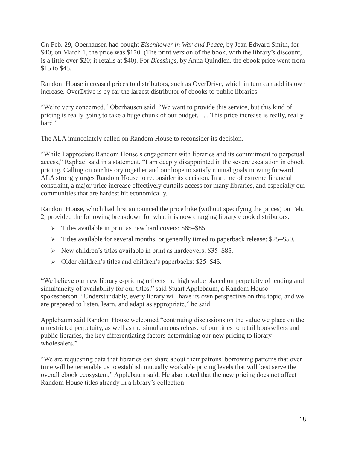On Feb. 29, Oberhausen had bought *Eisenhower in War and Peace,* by Jean Edward Smith, for \$40; on March 1, the price was \$120. (The print version of the book, with the library's discount, is a little over \$20; it retails at \$40). For *Blessings,* by Anna Quindlen, the ebook price went from \$15 to \$45.

Random House increased prices to distributors, such as OverDrive, which in turn can add its own increase. OverDrive is by far the largest distributor of ebooks to public libraries.

"We're very concerned," Oberhausen said. "We want to provide this service, but this kind of pricing is really going to take a huge chunk of our budget. . . . This price increase is really, really hard<sup>"</sup>

The ALA immediately called on Random House to reconsider its decision.

―While I appreciate Random House's engagement with libraries and its commitment to perpetual access," Raphael said in a statement, "I am deeply disappointed in the severe escalation in ebook pricing. Calling on our history together and our hope to satisfy mutual goals moving forward, ALA strongly urges Random House to reconsider its decision. In a time of extreme financial constraint, a major price increase effectively curtails access for many libraries, and especially our communities that are hardest hit economically.

Random House, which had first announced the price hike (without specifying the prices) on Feb. 2, provided the following breakdown for what it is now charging library ebook distributors:

- $\triangleright$  Titles available in print as new hard covers: \$65–\$85.
- $\triangleright$  Titles available for several months, or generally timed to paperback release: \$25–\$50.
- $\triangleright$  New children's titles available in print as hardcovers: \$35–\$85.
- $\triangleright$  Older children's titles and children's paperbacks: \$25–\$45.

―We believe our new library e-pricing reflects the high value placed on perpetuity of lending and simultaneity of availability for our titles," said Stuart Applebaum, a Random House spokesperson. "Understandably, every library will have its own perspective on this topic, and we are prepared to listen, learn, and adapt as appropriate," he said.

Applebaum said Random House welcomed "continuing discussions on the value we place on the unrestricted perpetuity, as well as the simultaneous release of our titles to retail booksellers and public libraries, the key differentiating factors determining our new pricing to library wholesalers."

―We are requesting data that libraries can share about their patrons' borrowing patterns that over time will better enable us to establish mutually workable pricing levels that will best serve the overall ebook ecosystem," Applebaum said. He also noted that the new pricing does not affect Random House titles already in a library's collection.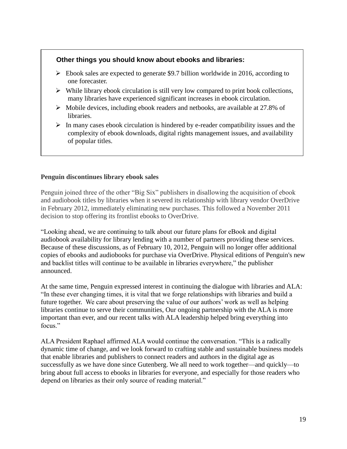#### **Other things you should know about ebooks and libraries:**

- $\triangleright$  Ebook sales are expected to generate \$9.7 billion worldwide in 2016, according to one forecaster.
- $\triangleright$  While library ebook circulation is still very low compared to print book collections, many libraries have experienced significant increases in ebook circulation.
- $\triangleright$  Mobile devices, including ebook readers and netbooks, are available at 27.8% of libraries.
- $\triangleright$  In many cases ebook circulation is hindered by e-reader compatibility issues and the complexity of ebook downloads, digital rights management issues, and availability of popular titles.

#### **Penguin discontinues library ebook sales**

Penguin joined three of the other "Big Six" publishers in disallowing the acquisition of ebook and audiobook titles by libraries when it severed its relationship with library vendor OverDrive in February 2012, immediately eliminating new purchases. This followed a November 2011 decision to stop offering its frontlist ebooks to OverDrive.

―Looking ahead, we are continuing to talk about our future plans for eBook and digital audiobook availability for library lending with a number of partners providing these services. Because of these discussions, as of February 10, 2012, Penguin will no longer offer additional copies of ebooks and audiobooks for purchase via OverDrive. Physical editions of Penguin's new and backlist titles will continue to be available in libraries everywhere," the publisher announced.

At the same time, Penguin expressed interest in continuing the dialogue with libraries and ALA: ―In these ever changing times, it is vital that we forge relationships with libraries and build a future together. We care about preserving the value of our authors' work as well as helping libraries continue to serve their communities, Our ongoing partnership with the ALA is more important than ever, and our recent talks with ALA leadership helped bring everything into focus"

ALA President Raphael affirmed ALA would continue the conversation. "This is a radically dynamic time of change, and we look forward to crafting stable and sustainable business models that enable libraries and publishers to connect readers and authors in the digital age as successfully as we have done since Gutenberg. We all need to work together—and quickly—to bring about full access to ebooks in libraries for everyone, and especially for those readers who depend on libraries as their only source of reading material."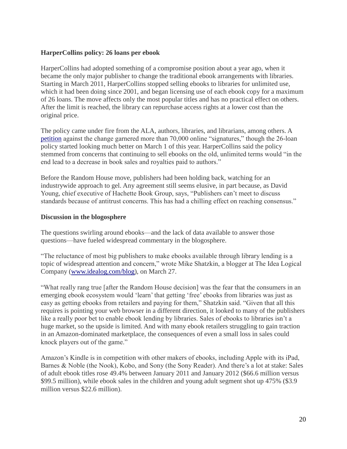#### **HarperCollins policy: 26 loans per ebook**

HarperCollins had adopted something of a compromise position about a year ago, when it became the only major publisher to change the traditional ebook arrangements with libraries. Starting in March 2011, HarperCollins stopped selling ebooks to libraries for unlimited use, which it had been doing since 2001, and began licensing use of each ebook copy for a maximum of 26 loans. The move affects only the most popular titles and has no practical effect on others. After the limit is reached, the library can repurchase access rights at a lower cost than the original price.

The policy came under fire from the ALA, authors, libraries, and librarians, among others. A [petition](http://www.change.org/petitions/tell-harpercollins-limited-checkouts-on-ebooks-is-wrong-for-libraries) against the change garnered more than 70,000 online "signatures," though the 26-loan policy started looking much better on March 1 of this year. HarperCollins said the policy stemmed from concerns that continuing to sell ebooks on the old, unlimited terms would "in the end lead to a decrease in book sales and royalties paid to authors."

Before the Random House move, publishers had been holding back, watching for an industrywide approach to gel. Any agreement still seems elusive, in part because, as David Young, chief executive of Hachette Book Group, says, "Publishers can't meet to discuss standards because of antitrust concerns. This has had a chilling effect on reaching consensus."

#### **Discussion in the blogosphere**

The questions swirling around ebooks—and the lack of data available to answer those questions—have fueled widespread commentary in the blogosphere.

―The reluctance of most big publishers to make ebooks available through library lending is a topic of widespread attention and concern," wrote Mike Shatzkin, a blogger at The Idea Logical Company [\(www.idealog.com/blog\)](http://www.idealog.com/blog), on March 27.

―What really rang true [after the Random House decision] was the fear that the consumers in an emerging ebook ecosystem would 'learn' that getting 'free' ebooks from libraries was just as easy as getting ebooks from retailers and paying for them," Shatzkin said. "Given that all this requires is pointing your web browser in a different direction, it looked to many of the publishers like a really poor bet to enable ebook lending by libraries. Sales of ebooks to libraries isn't a huge market, so the upside is limited. And with many ebook retailers struggling to gain traction in an Amazon-dominated marketplace, the consequences of even a small loss in sales could knock players out of the game."

Amazon's Kindle is in competition with other makers of ebooks, including Apple with its iPad, Barnes & Noble (the Nook), Kobo, and Sony (the Sony Reader). And there's a lot at stake: Sales of adult ebook titles rose 49.4% between January 2011 and January 2012 (\$66.6 million versus \$99.5 million), while ebook sales in the children and young adult segment shot up 475% (\$3.9 million versus \$22.6 million).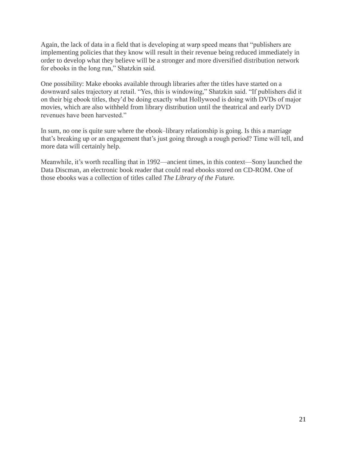Again, the lack of data in a field that is developing at warp speed means that "publishers are implementing policies that they know will result in their revenue being reduced immediately in order to develop what they believe will be a stronger and more diversified distribution network for ebooks in the long run," Shatzkin said.

One possibility: Make ebooks available through libraries after the titles have started on a downward sales trajectory at retail. "Yes, this is windowing," Shatzkin said. "If publishers did it on their big ebook titles, they'd be doing exactly what Hollywood is doing with DVDs of major movies, which are also withheld from library distribution until the theatrical and early DVD revenues have been harvested."

In sum, no one is quite sure where the ebook–library relationship is going. Is this a marriage that's breaking up or an engagement that's just going through a rough period? Time will tell, and more data will certainly help.

Meanwhile, it's worth recalling that in 1992—ancient times, in this context—Sony launched the Data Discman, an electronic book reader that could read ebooks stored on CD-ROM. One of those ebooks was a collection of titles called *The Library of the Future.*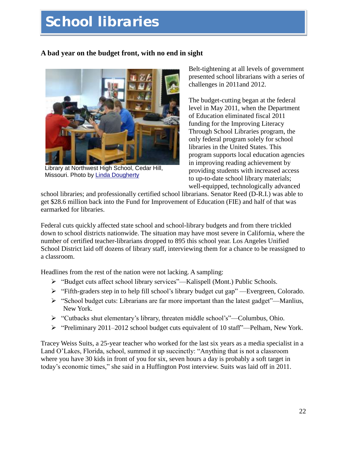# **School libraries**

#### **A bad year on the budget front, with no end in sight**



Library at Northwest High School, Cedar Hill, Missouri. Photo by [Linda Dougherty](http://www.flickr.com/photos/ljdougherty/6154676576/in/photostream/)

Belt-tightening at all levels of government presented school librarians with a series of challenges in 2011and 2012.

The budget-cutting began at the federal level in May 2011, when the Department of Education eliminated fiscal 2011 funding for the Improving Literacy Through School Libraries program, the only federal program solely for school libraries in the United States. This program supports local education agencies in improving reading achievement by providing students with increased access to up-to-date school library materials; well-equipped, technologically advanced

school libraries; and professionally certified school librarians. Senator Reed (D-R.I.) was able to get \$28.6 million back into the Fund for Improvement of Education (FIE) and half of that was earmarked for libraries.

Federal cuts quickly affected state school and school-library budgets and from there trickled down to school districts nationwide. The situation may have most severe in California, where the number of certified teacher-librarians dropped to 895 this school year. Los Angeles Unified School District laid off dozens of library staff, interviewing them for a chance to be reassigned to a classroom.

Headlines from the rest of the nation were not lacking. A sampling:

- $\triangleright$  "Budget cuts affect school library services"—Kalispell (Mont.) Public Schools.
- $\triangleright$  "Fifth-graders step in to help fill school's library budget cut gap"—Evergreen, Colorado.
- $\triangleright$  "School budget cuts: Librarians are far more important than the latest gadget"—Manlius, New York.
- $\triangleright$  "Cutbacks shut elementary's library, threaten middle school's"—Columbus, Ohio.
- $\triangleright$  "Preliminary 2011–2012 school budget cuts equivalent of 10 staff"—Pelham, New York.

Tracey Weiss Suits, a 25-year teacher who worked for the last six years as a media specialist in a Land O'Lakes, Florida, school, summed it up succinctly: "Anything that is not a classroom where you have 30 kids in front of you for six, seven hours a day is probably a soft target in today's economic times," she said in a Huffington Post interview. Suits was laid off in 2011.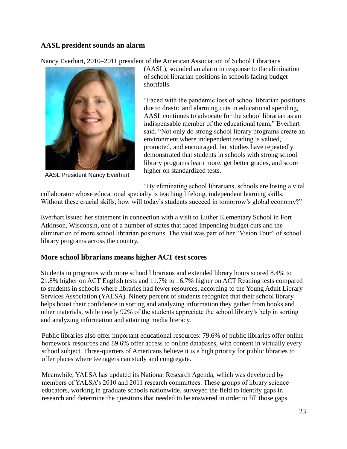#### **AASL president sounds an alarm**

Nancy Everhart, 2010–2011 president of the American Association of School Librarians



AASL President Nancy Everhart

(AASL), sounded an alarm in response to the elimination of school librarian positions in schools facing budget shortfalls.

―Faced with the pandemic loss of school librarian positions due to drastic and alarming cuts in educational spending, AASL continues to advocate for the school librarian as an indispensable member of the educational team," Everhart said. "Not only do strong school library programs create an environment where independent reading is valued, promoted, and encouraged, but studies have repeatedly demonstrated that students in schools with strong school library programs learn more, get better grades, and score higher on standardized tests.

―By eliminating school librarians, schools are losing a vital

collaborator whose educational specialty is teaching lifelong, independent learning skills. Without these crucial skills, how will today's students succeed in tomorrow's global economy?"

Everhart issued her statement in connection with a visit to Luther Elementary School in Fort Atkinson, Wisconsin, one of a number of states that faced impending budget cuts and the elimination of more school librarian positions. The visit was part of her "Vision Tour" of school library programs across the country.

#### **More school librarians means higher ACT test scores**

Students in programs with more school librarians and extended library hours scored 8.4% to 21.8% higher on ACT English tests and 11.7% to 16.7% higher on ACT Reading tests compared to students in schools where libraries had fewer resources, according to the Young Adult Library Services Association (YALSA). Ninety percent of students recognize that their school library helps boost their confidence in sorting and analyzing information they gather from books and other materials, while nearly 92% of the students appreciate the school library's help in sorting and analyzing information and attaining media literacy.

Public libraries also offer important educational resources: 79.6% of public libraries offer online homework resources and 89.6% offer access to online databases, with content in virtually every school subject. Three-quarters of Americans believe it is a high priority for public libraries to offer places where teenagers can study and congregate.

Meanwhile, YALSA has updated its National Research Agenda, which was developed by members of YALSA's 2010 and 2011 research committees. These groups of library science educators, working in graduate schools nationwide, surveyed the field to identify gaps in research and determine the questions that needed to be answered in order to fill those gaps.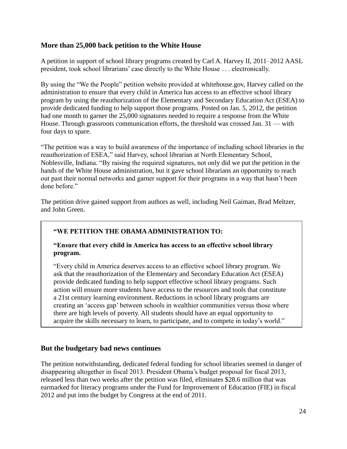#### **More than 25,000 back petition to the White House**

A petition in support of school library programs created by Carl A. Harvey II, 2011–2012 AASL president, took school librarians' case directly to the White House . . . electronically.

By using the "We the People" petition website provided at whitehouse.gov, Harvey called on the administration to ensure that every child in America has access to an effective school library program by using the reauthorization of the Elementary and Secondary Education Act (ESEA) to provide dedicated funding to help support those programs. Posted on Jan. 5, 2012, the petition had one month to garner the 25,000 signatures needed to require a response from the White House. Through grassroots communication efforts, the threshold was crossed Jan. 31 — with four days to spare.

―The petition was a way to build awareness of the importance of including school libraries in the reauthorization of ESEA," said Harvey, school librarian at North Elementary School, Noblesville, Indiana. "By raising the required signatures, not only did we put the petition in the hands of the White House administration, but it gave school librarians an opportunity to reach out past their normal networks and garner support for their programs in a way that hasn't been done before."

The petition drive gained support from authors as well, including Neil Gaiman, Brad Meltzer, and John Green.

#### **―WE PETITION THE OBAMA ADMINISTRATION TO:**

#### **―Ensure that every child in America has access to an effective school library program.**

―Every child in America deserves access to an effective school library program. We ask that the reauthorization of the Elementary and Secondary Education Act (ESEA) provide dedicated funding to help support effective school library programs. Such action will ensure more students have access to the resources and tools that constitute a 21st century learning environment. Reductions in school library programs are creating an 'access gap' between schools in wealthier communities versus those where there are high levels of poverty. All students should have an equal opportunity to acquire the skills necessary to learn, to participate, and to compete in today's world."

#### **But the budgetary bad news continues**

The petition notwithstanding, dedicated federal funding for school libraries seemed in danger of disappearing altogether in fiscal 2013. President Obama's budget proposal for fiscal 2013, released less than two weeks after the petition was filed, eliminates \$28.6 million that was earmarked for literacy programs under the Fund for Improvement of Education (FIE) in fiscal 2012 and put into the budget by Congress at the end of 2011.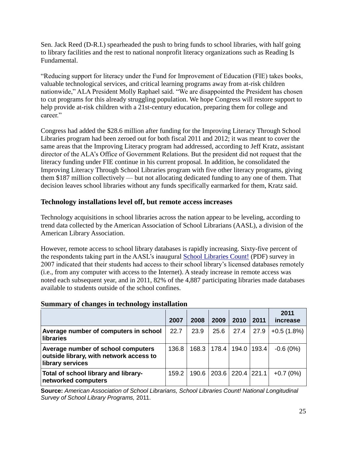Sen. Jack Reed (D-R.I.) spearheaded the push to bring funds to school libraries, with half going to library facilities and the rest to national nonprofit literacy organizations such as Reading Is Fundamental.

―Reducing support for literacy under the Fund for Improvement of Education (FIE) takes books, valuable technological services, and critical learning programs away from at-risk children nationwide," ALA President Molly Raphael said. "We are disappointed the President has chosen to cut programs for this already struggling population. We hope Congress will restore support to help provide at-risk children with a 21st-century education, preparing them for college and career."

Congress had added the \$28.6 million after funding for the Improving Literacy Through School Libraries program had been zeroed out for both fiscal 2011 and 2012; it was meant to cover the same areas that the Improving Literacy program had addressed, according to Jeff Kratz, assistant director of the ALA's Office of Government Relations. But the president did not request that the literacy funding under FIE continue in his current proposal. In addition, he consolidated the Improving Literacy Through School Libraries program with five other literacy programs, giving them \$187 million collectively — but not allocating dedicated funding to any one of them. That decision leaves school libraries without any funds specifically earmarked for them, Kratz said.

#### **Technology installations level off, but remote access increases**

Technology acquisitions in school libraries across the nation appear to be leveling, according to trend data collected by the American Association of School Librarians (AASL), a division of the American Library Association.

However, remote access to school library databases is rapidly increasing. Sixty-five percent of the respondents taking part in the AASL's inaugural [School Libraries Count!](http://www.ala.org/aasl/sites/ala.org.aasl/files/content/researchandstatistics/slcsurvey/2011/AASL-SLC-2011-FINALweb.pdf) (PDF) survey in 2007 indicated that their students had access to their school library's licensed databases remotely (i.e., from any computer with access to the Internet). A steady increase in remote access was noted each subsequent year, and in 2011, 82% of the 4,887 participating libraries made databases available to students outside of the school confines.

|                                                                                                   | 2007  | 2008  | 2009  | 2010              | 2011          | 2011<br>increase |
|---------------------------------------------------------------------------------------------------|-------|-------|-------|-------------------|---------------|------------------|
| Average number of computers in school<br><b>libraries</b>                                         | 22.7  | 23.9  | 25.6  | 27.4              | 27.9          | $+0.5(1.8%)$     |
| Average number of school computers<br>outside library, with network access to<br>library services | 136.8 | 168.3 | 178.4 |                   | 194.0   193.4 | $-0.6(0%)$       |
| Total of school library and library-<br>networked computers                                       | 159.2 | 190.6 |       | 203.6 220.4 221.1 |               | $+0.7(0\%)$      |

#### **Summary of changes in technology installation**

**Source:** *American Association of School Librarians, School Libraries Count! National Longitudinal Survey of School Library Programs,* 2011.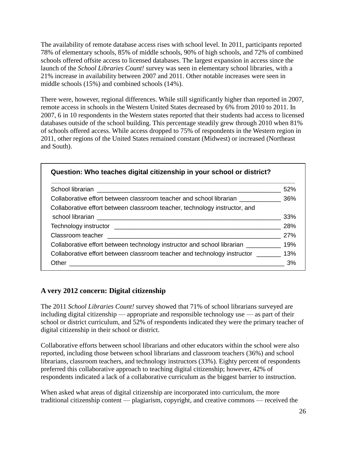The availability of remote database access rises with school level. In 2011, participants reported 78% of elementary schools, 85% of middle schools, 90% of high schools, and 72% of combined schools offered offsite access to licensed databases. The largest expansion in access since the launch of the *School Libraries Count!* survey was seen in elementary school libraries, with a 21% increase in availability between 2007 and 2011. Other notable increases were seen in middle schools (15%) and combined schools (14%).

There were, however, regional differences. While still significantly higher than reported in 2007, remote access in schools in the Western United States decreased by 6% from 2010 to 2011. In 2007, 6 in 10 respondents in the Western states reported that their students had access to licensed databases outside of the school building. This percentage steadily grew through 2010 when 81% of schools offered access. While access dropped to 75% of respondents in the Western region in 2011, other regions of the United States remained constant (Midwest) or increased (Northeast and South).

|                                                                                             | 52%   |
|---------------------------------------------------------------------------------------------|-------|
| Collaborative effort between classroom teacher and school librarian ____________________36% |       |
| Collaborative effort between classroom teacher, technology instructor, and                  |       |
|                                                                                             | 33%   |
|                                                                                             | 28%   |
|                                                                                             | 27%   |
| Collaborative effort between technology instructor and school librarian ____________ 19%    |       |
| Collaborative effort between classroom teacher and technology instructor ________ 13%       |       |
| Other                                                                                       | $3\%$ |

#### **A very 2012 concern: Digital citizenship**

The 2011 *School Libraries Count!* survey showed that 71% of school librarians surveyed are including digital citizenship — appropriate and responsible technology use — as part of their school or district curriculum, and 52% of respondents indicated they were the primary teacher of digital citizenship in their school or district.

Collaborative efforts between school librarians and other educators within the school were also reported, including those between school librarians and classroom teachers (36%) and school librarians, classroom teachers, and technology instructors (33%). Eighty percent of respondents preferred this collaborative approach to teaching digital citizenship; however, 42% of respondents indicated a lack of a collaborative curriculum as the biggest barrier to instruction.

When asked what areas of digital citizenship are incorporated into curriculum, the more traditional citizenship content — plagiarism, copyright, and creative commons — received the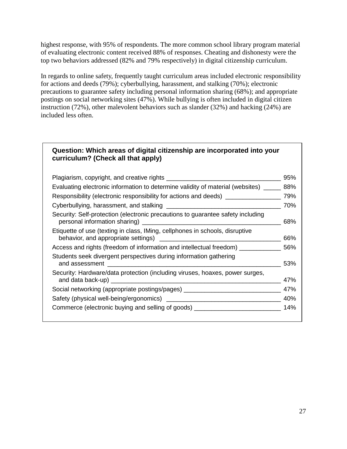highest response, with 95% of respondents. The more common school library program material of evaluating electronic content received 88% of responses. Cheating and dishonesty were the top two behaviors addressed (82% and 79% respectively) in digital citizenship curriculum.

In regards to online safety, frequently taught curriculum areas included electronic responsibility for actions and deeds (79%); cyberbullying, harassment, and stalking (70%); electronic precautions to guarantee safety including personal information sharing (68%); and appropriate postings on social networking sites (47%). While bullying is often included in digital citizen instruction (72%), other malevolent behaviors such as slander (32%) and hacking (24%) are included less often.

#### **Question: Which areas of digital citizenship are incorporated into your curriculum? (Check all that apply)**

|                                                                                                                                                                                                                                | 95% |
|--------------------------------------------------------------------------------------------------------------------------------------------------------------------------------------------------------------------------------|-----|
| Evaluating electronic information to determine validity of material (websites) _                                                                                                                                               | 88% |
| Responsibility (electronic responsibility for actions and deeds) _______________                                                                                                                                               | 79% |
| Cyberbullying, harassment, and stalking example and the control of the control of the control of the control of the control of the control of the control of the control of the control of the control of the control of the c | 70% |
| Security: Self-protection (electronic precautions to guarantee safety including                                                                                                                                                | 68% |
| Etiquette of use (texting in class, IMing, cellphones in schools, disruptive                                                                                                                                                   | 66% |
| Access and rights (freedom of information and intellectual freedom) ____________                                                                                                                                               | 56% |
| Students seek divergent perspectives during information gathering<br>and assessment                                                                                                                                            | 53% |
| Security: Hardware/data protection (including viruses, hoaxes, power surges,<br>and data back-up)                                                                                                                              | 47% |
| Social networking (appropriate postings/pages) _________________________________                                                                                                                                               | 47% |
|                                                                                                                                                                                                                                | 40% |
| Commerce (electronic buying and selling of goods) _                                                                                                                                                                            | 14% |
|                                                                                                                                                                                                                                |     |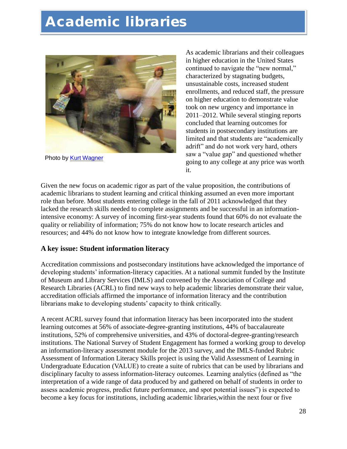# **Academic libraries**



Photo by **Kurt Wagner** 

As academic librarians and their colleagues in higher education in the United States continued to navigate the "new normal," characterized by stagnating budgets, unsustainable costs, increased student enrollments, and reduced staff, the pressure on higher education to demonstrate value took on new urgency and importance in 2011–2012. While several stinging reports concluded that learning outcomes for students in postsecondary institutions are limited and that students are "academically adrift" and do not work very hard, others saw a "value gap" and questioned whether going to any college at any price was worth it.

Given the new focus on academic rigor as part of the value proposition, the contributions of academic librarians to student learning and critical thinking assumed an even more important role than before. Most students entering college in the fall of 2011 acknowledged that they lacked the research skills needed to complete assignments and be successful in an informationintensive economy: A survey of incoming first-year students found that 60% do not evaluate the quality or reliability of information; 75% do not know how to locate research articles and resources; and 44% do not know how to integrate knowledge from different sources.

#### **A key issue: Student information literacy**

Accreditation commissions and postsecondary institutions have acknowledged the importance of developing students' information-literacy capacities. At a national summit funded by the Institute of Museum and Library Services (IMLS) and convened by the Association of College and Research Libraries (ACRL) to find new ways to help academic libraries demonstrate their value, accreditation officials affirmed the importance of information literacy and the contribution librarians make to developing students' capacity to think critically.

A recent ACRL survey found that information literacy has been incorporated into the student learning outcomes at 56% of associate-degree-granting institutions, 44% of baccalaureate institutions, 52% of comprehensive universities, and 43% of doctoral-degree-granting/research institutions. The National Survey of Student Engagement has formed a working group to develop an information-literacy assessment module for the 2013 survey, and the IMLS-funded Rubric Assessment of Information Literacy Skills project is using the Valid Assessment of Learning in Undergraduate Education (VALUE) to create a suite of rubrics that can be used by librarians and disciplinary faculty to assess information-literacy outcomes. Learning analytics (defined as "the interpretation of a wide range of data produced by and gathered on behalf of students in order to assess academic progress, predict future performance, and spot potential issues") is expected to become a key focus for institutions, including academic libraries,within the next four or five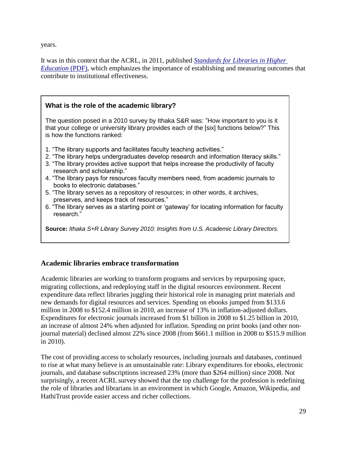years.

It was in this context that the ACRL, in 2011, published *[Standards for Libraries in Higher](http://www.ala.org/acrl/sites/ala.org.acrl/files/content/standards/slhe.pdf)  [Education](http://www.ala.org/acrl/sites/ala.org.acrl/files/content/standards/slhe.pdf)* (PDF), which emphasizes the importance of establishing and measuring outcomes that contribute to institutional effectiveness.

#### **What is the role of the academic library?**

The question posed in a 2010 survey by Ithaka S&R was: "How important to you is it that your college or university library provides each of the [six] functions below?" This is how the functions ranked:

- 1. "The library supports and facilitates faculty teaching activities."
- 2. "The library helps undergraduates develop research and information literacy skills."
- 3. "The library provides active support that helps increase the productivity of faculty research and scholarship."
- 4. "The library pays for resources faculty members need, from academic journals to books to electronic databases."
- 5. "The library serves as a repository of resources; in other words, it archives, preserves, and keeps track of resources."
- 6. "The library serves as a starting point or "gateway" for locating information for faculty research."

**Source:** *Ithaka S+R Library Survey 2010: Insights from U.S. Academic Library Directors.*

#### **Academic libraries embrace transformation**

Academic libraries are working to transform programs and services by repurposing space, migrating collections, and redeploying staff in the digital resources environment. Recent expenditure data reflect libraries juggling their historical role in managing print materials and new demands for digital resources and services. Spending on ebooks jumped from \$133.6 million in 2008 to \$152.4 million in 2010, an increase of 13% in inflation-adjusted dollars. Expenditures for electronic journals increased from \$1 billion in 2008 to \$1.25 billion in 2010, an increase of almost 24% when adjusted for inflation. Spending on print books (and other nonjournal material) declined almost 22% since 2008 (from \$661.1 million in 2008 to \$515.9 million in 2010).

The cost of providing access to scholarly resources, including journals and databases, continued to rise at what many believe is an unsustainable rate: Library expenditures for ebooks, electronic journals, and database subscriptions increased 23% (more than \$264 million) since 2008. Not surprisingly, a recent ACRL survey showed that the top challenge for the profession is redefining the role of libraries and librarians in an environment in which Google, Amazon, Wikipedia, and HathiTrust provide easier access and richer collections.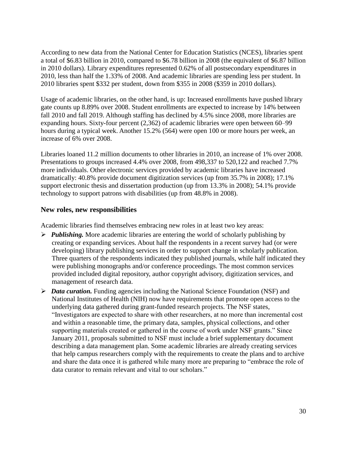According to new data from the National Center for Education Statistics (NCES), libraries spent a total of \$6.83 billion in 2010, compared to \$6.78 billion in 2008 (the equivalent of \$6.87 billion in 2010 dollars). Library expenditures represented 0.62% of all postsecondary expenditures in 2010, less than half the 1.33% of 2008. And academic libraries are spending less per student. In 2010 libraries spent \$332 per student, down from \$355 in 2008 (\$359 in 2010 dollars).

Usage of academic libraries, on the other hand, is up: Increased enrollments have pushed library gate counts up 8.89% over 2008. Student enrollments are expected to increase by 14% between fall 2010 and fall 2019. Although staffing has declined by 4.5% since 2008, more libraries are expanding hours. Sixty-four percent (2,362) of academic libraries were open between 60–99 hours during a typical week. Another 15.2% (564) were open 100 or more hours per week, an increase of 6% over 2008.

Libraries loaned 11.2 million documents to other libraries in 2010, an increase of 1% over 2008. Presentations to groups increased 4.4% over 2008, from 498,337 to 520,122 and reached 7.7% more individuals. Other electronic services provided by academic libraries have increased dramatically: 40.8% provide document digitization services (up from 35.7% in 2008); 17.1% support electronic thesis and dissertation production (up from 13.3% in 2008); 54.1% provide technology to support patrons with disabilities (up from 48.8% in 2008).

#### **New roles, new responsibilities**

Academic libraries find themselves embracing new roles in at least two key areas:

- *Publishing.* More academic libraries are entering the world of scholarly publishing by creating or expanding services. About half the respondents in a recent survey had (or were developing) library publishing services in order to support change in scholarly publication. Three quarters of the respondents indicated they published journals, while half indicated they were publishing monographs and/or conference proceedings. The most common services provided included digital repository, author copyright advisory, digitization services, and management of research data.
- *Data curation.* Funding agencies including the National Science Foundation (NSF) and National Institutes of Health (NIH) now have requirements that promote open access to the underlying data gathered during grant-funded research projects. The NSF states, ―Investigators are expected to share with other researchers, at no more than incremental cost and within a reasonable time, the primary data, samples, physical collections, and other supporting materials created or gathered in the course of work under NSF grants." Since January 2011, proposals submitted to NSF must include a brief supplementary document describing a data management plan. Some academic libraries are already creating services that help campus researchers comply with the requirements to create the plans and to archive and share the data once it is gathered while many more are preparing to "embrace the role of data curator to remain relevant and vital to our scholars."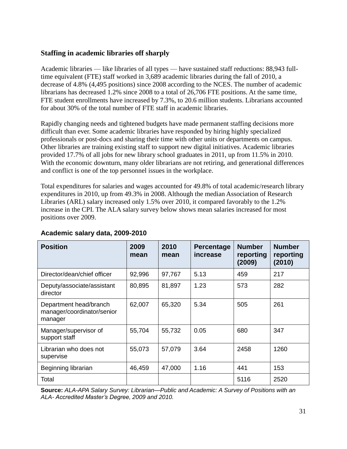#### **Staffing in academic libraries off sharply**

Academic libraries — like libraries of all types — have sustained staff reductions: 88,943 fulltime equivalent (FTE) staff worked in 3,689 academic libraries during the fall of 2010, a decrease of 4.8% (4,495 positions) since 2008 according to the NCES. The number of academic librarians has decreased 1.2% since 2008 to a total of 26,706 FTE positions. At the same time, FTE student enrollments have increased by 7.3%, to 20.6 million students. Librarians accounted for about 30% of the total number of FTE staff in academic libraries.

Rapidly changing needs and tightened budgets have made permanent staffing decisions more difficult than ever. Some academic libraries have responded by hiring highly specialized professionals or post-docs and sharing their time with other units or departments on campus. Other libraries are training existing staff to support new digital initiatives. Academic libraries provided 17.7% of all jobs for new library school graduates in 2011, up from 11.5% in 2010. With the economic downturn, many older librarians are not retiring, and generational differences and conflict is one of the top personnel issues in the workplace.

Total expenditures for salaries and wages accounted for 49.8% of total academic/research library expenditures in 2010, up from 49.3% in 2008. Although the median Association of Research Libraries (ARL) salary increased only 1.5% over 2010, it compared favorably to the 1.2% increase in the CPI. The ALA salary survey below shows mean salaries increased for most positions over 2009.

| <b>Position</b>                                                 | 2009<br>mean | 2010<br>mean | Percentage<br>increase | <b>Number</b><br>reporting<br>(2009) | <b>Number</b><br>reporting<br>(2010) |
|-----------------------------------------------------------------|--------------|--------------|------------------------|--------------------------------------|--------------------------------------|
| Director/dean/chief officer                                     | 92,996       | 97,767       | 5.13                   | 459                                  | 217                                  |
| Deputy/associate/assistant<br>director                          | 80,895       | 81,897       | 1.23                   | 573                                  | 282                                  |
| Department head/branch<br>manager/coordinator/senior<br>manager | 62,007       | 65,320       | 5.34                   | 505                                  | 261                                  |
| Manager/supervisor of<br>support staff                          | 55,704       | 55,732       | 0.05                   | 680                                  | 347                                  |
| Librarian who does not<br>supervise                             | 55,073       | 57,079       | 3.64                   | 2458                                 | 1260                                 |
| Beginning librarian                                             | 46,459       | 47,000       | 1.16                   | 441                                  | 153                                  |
| Total                                                           |              |              |                        | 5116                                 | 2520                                 |

#### **Academic salary data, 2009-2010**

**Source:** *ALA-APA Salary Survey: Librarian—Public and Academic: A Survey of Positions with an ALA- Accredited Master's Degree, 2009 and 2010.*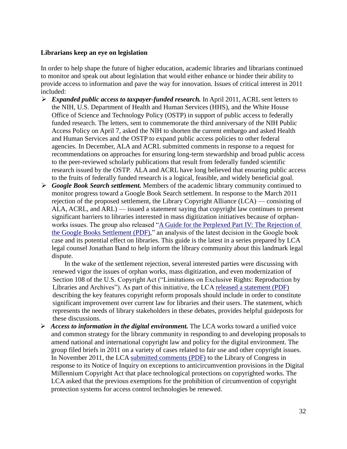#### **Librarians keep an eye on legislation**

In order to help shape the future of higher education, academic libraries and librarians continued to monitor and speak out about legislation that would either enhance or hinder their ability to provide access to information and pave the way for innovation. Issues of critical interest in 2011 included:

- *Expanded public access to taxpayer-funded research.* In April 2011, ACRL sent letters to the NIH, U.S. Department of Health and Human Services (HHS), and the White House Office of Science and Technology Policy (OSTP) in support of public access to federally funded research. The letters, sent to commemorate the third anniversary of the NIH Public Access Policy on April 7, asked the NIH to shorten the current embargo and asked Health and Human Services and the OSTP to expand public access policies to other federal agencies. In December, ALA and ACRL submitted comments in response to a request for recommendations on approaches for ensuring long-term stewardship and broad public access to the peer-reviewed scholarly publications that result from federally funded scientific research issued by the OSTP. ALA and ACRL have long believed that ensuring public access to the fruits of federally funded research is a logical, feasible, and widely beneficial goal.
- *Google Book Search settlement.* Members of the academic library community continued to monitor progress toward a Google Book Search settlement. In response to the March 2011 rejection of the proposed settlement, the Library Copyright Alliance (LCA) — consisting of ALA, ACRL, and ARL) — issued a statement saying that copyright law continues to present significant barriers to libraries interested in mass digitization initiatives because of orphanworks issues. The group also released "A Guide for the Perplexed Part IV: The Rejection of [the Google Books Settlement \(PDF\),](http://www.arl.org/bm~doc/guideiv-final-1.pdf)" an analysis of the latest decision in the Google book case and its potential effect on libraries. This guide is the latest in a series prepared by LCA legal counsel Jonathan Band to help inform the library community about this landmark legal dispute.

 In the wake of the settlement rejection, several interested parties were discussing with renewed vigor the issues of orphan works, mass digitization, and even modernization of Section 108 of the U.S. Copyright Act ("Limitations on Exclusive Rights: Reproduction by Libraries and Archives"). As part of this initiative, the LC[A released a statement \(PDF\)](http://www.librarycopyrightalliance.org/bm~doc/lca_copyrightreformstatement_16may11.pdf) describing the key features copyright reform proposals should include in order to constitute significant improvement over current law for libraries and their users. The statement, which represents the needs of library stakeholders in these debates, provides helpful guideposts for these discussions.

 *Access to information in the digital environment.* The LCA works toward a unified voice and common strategy for the library community in responding to and developing proposals to amend national and international copyright law and policy for the digital environment. The group filed briefs in 2011 on a variety of cases related to fair use and other copyright issues. In November 2011, the LC[A submitted comments \(PDF\)](http://www.librarycopyrightalliance.org/bm~doc/lca_1201comments_29nov11.pdf) to the Library of Congress in response to its Notice of Inquiry on exceptions to anticircumvention provisions in the Digital Millennium Copyright Act that place technological protections on copyrighted works. The LCA asked that the previous exemptions for the prohibition of circumvention of copyright protection systems for access control technologies be renewed.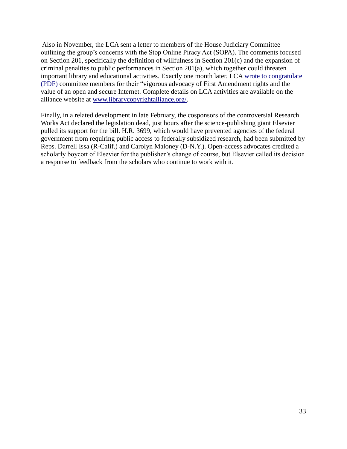Also in November, the LCA sent a letter to members of the House Judiciary Committee outlining the group's concerns with the Stop Online Piracy Act (SOPA). The comments focused on Section 201, specifically the definition of willfulness in Section 201(c) and the expansion of criminal penalties to public performances in Section 201(a), which together could threaten important library and educational activities. Exactly one month later, LCA [wrote to congratulate](http://www.librarycopyrightalliance.org/bm~doc/lca_thanks_markuprev21dec11.pdf)  [\(PDF\)](http://www.librarycopyrightalliance.org/bm~doc/lca_thanks_markuprev21dec11.pdf) committee members for their "vigorous advocacy of First Amendment rights and the value of an open and secure Internet. Complete details on LCA activities are available on the alliance website at [www.librarycopyrightalliance.org/.](http://www.librarycopyrightalliance.org/)

Finally, in a related development in late February, the cosponsors of the controversial Research Works Act declared the legislation dead, just hours after the science-publishing giant Elsevier pulled its support for the bill. H.R. 3699, which would have prevented agencies of the federal government from requiring public access to federally subsidized research, had been submitted by Reps. Darrell Issa (R-Calif.) and Carolyn Maloney (D-N.Y.). Open-access advocates credited a scholarly boycott of Elsevier for the publisher's change of course, but Elsevier called its decision a response to feedback from the scholars who continue to work with it.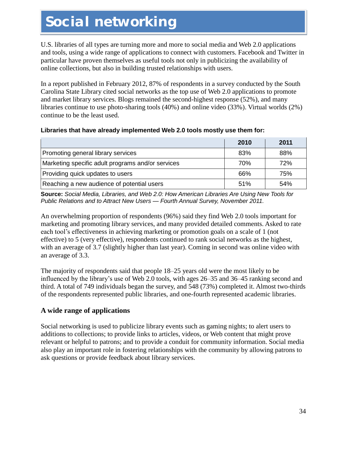# **Social networking**

U.S. libraries of all types are turning more and more to social media and Web 2.0 applications and tools, using a wide range of applications to connect with customers. Facebook and Twitter in particular have proven themselves as useful tools not only in publicizing the availability of online collections, but also in building trusted relationships with users.

In a report published in February 2012, 87% of respondents in a survey conducted by the South Carolina State Library cited social networks as the top use of Web 2.0 applications to promote and market library services. Blogs remained the second-highest response (52%), and many libraries continue to use photo-sharing tools (40%) and online video (33%). Virtual worlds (2%) continue to be the least used.

#### **Libraries that have already implemented Web 2.0 tools mostly use them for:**

|                                                   | 2010 | 2011 |
|---------------------------------------------------|------|------|
| Promoting general library services                | 83%  | 88%  |
| Marketing specific adult programs and/or services | 70%  | 72%  |
| Providing quick updates to users                  | 66%  | 75%  |
| Reaching a new audience of potential users        | 51%  | 54%  |

**Source:** *Social Media, Libraries, and Web 2.0: How American Libraries Are Using New Tools for Public Relations and to Attract New Users — Fourth Annual Survey, November 2011.*

An overwhelming proportion of respondents (96%) said they find Web 2.0 tools important for marketing and promoting library services, and many provided detailed comments. Asked to rate each tool's effectiveness in achieving marketing or promotion goals on a scale of 1 (not effective) to 5 (very effective), respondents continued to rank social networks as the highest, with an average of 3.7 (slightly higher than last year). Coming in second was online video with an average of 3.3.

The majority of respondents said that people 18–25 years old were the most likely to be influenced by the library's use of Web 2.0 tools, with ages 26–35 and 36–45 ranking second and third. A total of 749 individuals began the survey, and 548 (73%) completed it. Almost two-thirds of the respondents represented public libraries, and one-fourth represented academic libraries.

#### **A wide range of applications**

Social networking is used to publicize library events such as gaming nights; to alert users to additions to collections; to provide links to articles, videos, or Web content that might prove relevant or helpful to patrons; and to provide a conduit for community information. Social media also play an important role in fostering relationships with the community by allowing patrons to ask questions or provide feedback about library services.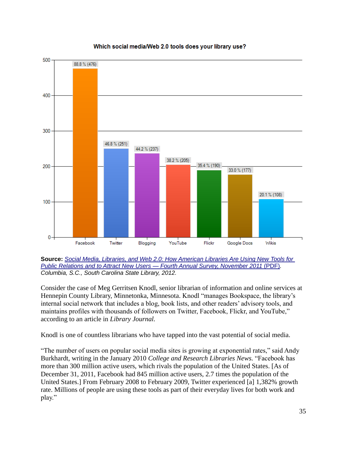

#### Which social media/Web 2.0 tools does your library use?

**Source:** *[Social Media, Libraries, and Web 2.0: How American Libraries Are Using New Tools for](http://www.statelibrary.sc.gov/docs/pr/201202_com_social_media_survey_dec_2011.pdf)  [Public Relations and to Attract New Users —](http://www.statelibrary.sc.gov/docs/pr/201202_com_social_media_survey_dec_2011.pdf) Fourth Annual Survey, November 2011* (PDF)*. Columbia, S.C., South Carolina State Library, 2012.*

Consider the case of Meg Gerritsen Knodl, senior librarian of information and online services at Hennepin County Library, Minnetonka, Minnesota. Knodl "manages Bookspace, the library's internal social network that includes a blog, book lists, and other readers' advisory tools, and maintains profiles with thousands of followers on Twitter, Facebook, Flickr, and YouTube," according to an article in *Library Journal.*

Knodl is one of countless librarians who have tapped into the vast potential of social media.

"The number of users on popular social media sites is growing at exponential rates," said Andy Burkhardt, writing in the January 2010 *College and Research Libraries News*. "Facebook has more than 300 million active users, which rivals the population of the United States. [As of December 31, 2011, Facebook had 845 million active users, 2.7 times the population of the United States.] From February 2008 to February 2009, Twitter experienced [a] 1,382% growth rate. Millions of people are using these tools as part of their everyday lives for both work and play."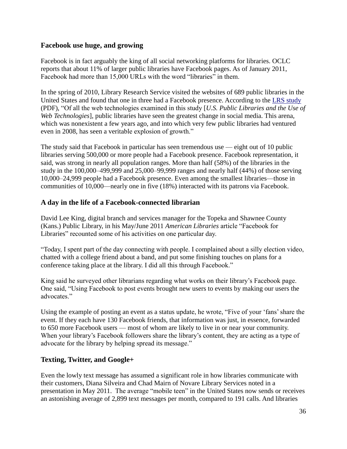#### **Facebook use huge, and growing**

Facebook is in fact arguably the king of all social networking platforms for libraries. OCLC reports that about 11% of larger public libraries have Facebook pages. As of January 2011, Facebook had more than 15,000 URLs with the word "libraries" in them.

In the spring of 2010, Library Research Service visited the websites of 689 public libraries in the United States and found that one in three had a Facebook presence. According to the [LRS study](http://www.lrs.org/documents/web20/WebTech2010_CloserLookReport_Final.pdf) (PDF), "Of all the web technologies examined in this study [*U.S. Public Libraries and the Use of Web Technologies*], public libraries have seen the greatest change in social media. This arena, which was nonexistent a few years ago, and into which very few public libraries had ventured even in 2008, has seen a veritable explosion of growth."

The study said that Facebook in particular has seen tremendous use — eight out of 10 public libraries serving 500,000 or more people had a Facebook presence. Facebook representation, it said, was strong in nearly all population ranges. More than half (58%) of the libraries in the study in the 100,000–499,999 and 25,000–99,999 ranges and nearly half (44%) of those serving 10,000–24,999 people had a Facebook presence. Even among the smallest libraries—those in communities of 10,000—nearly one in five (18%) interacted with its patrons via Facebook.

#### **A day in the life of a Facebook-connected librarian**

David Lee King, digital branch and services manager for the Topeka and Shawnee County (Kans.) Public Library, in his May/June 2011 *American Libraries* article "Facebook for Libraries" recounted some of his activities on one particular day.

―Today, I spent part of the day connecting with people. I complained about a silly election video, chatted with a college friend about a band, and put some finishing touches on plans for a conference taking place at the library. I did all this through Facebook."

King said he surveyed other librarians regarding what works on their library's Facebook page. One said, "Using Facebook to post events brought new users to events by making our users the advocates."

Using the example of posting an event as a status update, he wrote, "Five of your 'fans' share the event. If they each have 130 Facebook friends, that information was just, in essence, forwarded to 650 more Facebook users — most of whom are likely to live in or near your community. When your library's Facebook followers share the library's content, they are acting as a type of advocate for the library by helping spread its message."

#### **Texting, Twitter, and Google+**

Even the lowly text message has assumed a significant role in how libraries communicate with their customers, Diana Silveira and Chad Mairn of Novare Library Services noted in a presentation in May 2011. The average "mobile teen" in the United States now sends or receives an astonishing average of 2,899 text messages per month, compared to 191 calls. And libraries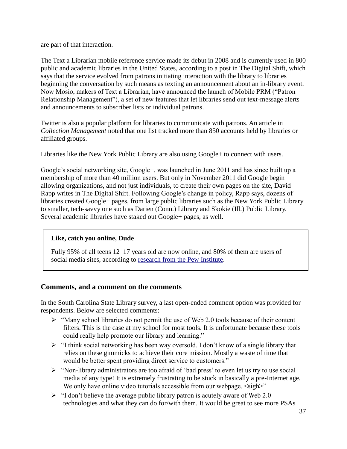are part of that interaction.

The Text a Librarian mobile reference service made its debut in 2008 and is currently used in 800 public and academic libraries in the United States, according to a post in The Digital Shift*,* which says that the service evolved from patrons initiating interaction with the library to libraries beginning the conversation by such means as texting an announcement about an in-library event. Now Mosio, makers of Text a Librarian, have announced the launch of Mobile PRM ("Patron" Relationship Management"), a set of new features that let libraries send out text-message alerts and announcements to subscriber lists or individual patrons.

Twitter is also a popular platform for libraries to communicate with patrons. An article in *Collection Management* noted that one list tracked more than 850 accounts held by libraries or affiliated groups.

Libraries like the New York Public Library are also using Google+ to connect with users.

Google's social networking site, Google+, was launched in June 2011 and has since built up a membership of more than 40 million users. But only in November 2011 did Google begin allowing organizations, and not just individuals, to create their own pages on the site, David Rapp writes in The Digital Shift. Following Google's change in policy, Rapp says, dozens of libraries created Google+ pages, from large public libraries such as the New York Public Library to smaller, tech-savvy one such as Darien (Conn.) Library and Skokie (Ill.) Public Library. Several academic libraries have staked out Google+ pages, as well.

#### **Like, catch you online, Dude**

Fully 95% of all teens 12–17 years old are now online, and 80% of them are users of social media sites, according to [research from the Pew Institute.](http://www.pewinternet.org/Reports/2011/Teens-and-social-media.aspx)

#### **Comments, and a comment on the comments**

In the South Carolina State Library survey, a last open-ended comment option was provided for respondents. Below are selected comments:

- $\triangleright$  "Many school libraries do not permit the use of Web 2.0 tools because of their content filters. This is the case at my school for most tools. It is unfortunate because these tools could really help promote our library and learning."
- $\triangleright$  "I think social networking has been way oversold. I don't know of a single library that relies on these gimmicks to achieve their core mission. Mostly a waste of time that would be better spent providing direct service to customers."
- $\triangleright$  "Non-library administrators are too afraid of 'bad press' to even let us try to use social media of any type! It is extremely frustrating to be stuck in basically a pre-Internet age. We only have online video tutorials accessible from our webpage.  $\langle \text{sign}\rangle$ "
- $\triangleright$  "I don't believe the average public library patron is acutely aware of Web 2.0 technologies and what they can do for/with them. It would be great to see more PSAs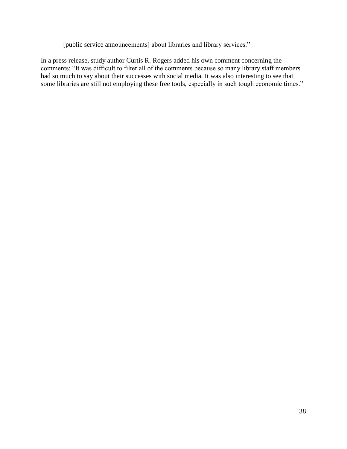[public service announcements] about libraries and library services."

In a press release, study author Curtis R. Rogers added his own comment concerning the comments: "It was difficult to filter all of the comments because so many library staff members had so much to say about their successes with social media. It was also interesting to see that some libraries are still not employing these free tools, especially in such tough economic times."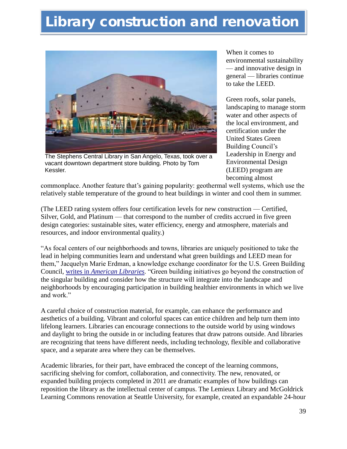# **Library construction and renovation**



The Stephens Central Library in San Angelo, Texas, took over a vacant downtown department store building. Photo by Tom Kessler.

When it comes to environmental sustainability — and innovative design in general — libraries continue to take the LEED.

Green roofs, solar panels, landscaping to manage storm water and other aspects of the local environment, and certification under the United States Green Building Council's Leadership in Energy and Environmental Design (LEED) program are becoming almost

commonplace. Another feature that's gaining popularity: geothermal well systems, which use the relatively stable temperature of the ground to heat buildings in winter and cool them in summer.

(The LEED rating system offers four certification levels for new construction — Certified, Silver, Gold, and Platinum — that correspond to the number of credits accrued in five green design categories: sustainable sites, water efficiency, energy and atmosphere, materials and resources, and indoor environmental quality.)

―As focal centers of our neighborhoods and towns, libraries are uniquely positioned to take the lead in helping communities learn and understand what green buildings and LEED mean for them," Jacquelyn Marie Erdman, a knowledge exchange coordinator for the U.S. Green Building Council, writes in *American Libraries*. "Green building initiatives go beyond the construction of the singular building and consider how the structure will integrate into the landscape and neighborhoods by encouraging participation in building healthier environments in which we live and work"

A careful choice of construction material, for example, can enhance the performance and aesthetics of a building. Vibrant and colorful spaces can entice children and help turn them into lifelong learners. Libraries can encourage connections to the outside world by using windows and daylight to bring the outside in or including features that draw patrons outside. And libraries are recognizing that teens have different needs, including technology, flexible and collaborative space, and a separate area where they can be themselves.

Academic libraries, for their part, have embraced the concept of the learning commons, sacrificing shelving for comfort, collaboration, and connectivity. The new, renovated, or expanded building projects completed in 2011 are dramatic examples of how buildings can reposition the library as the intellectual center of campus. The Lemieux Library and McGoldrick Learning Commons renovation at Seattle University, for example, created an expandable 24-hour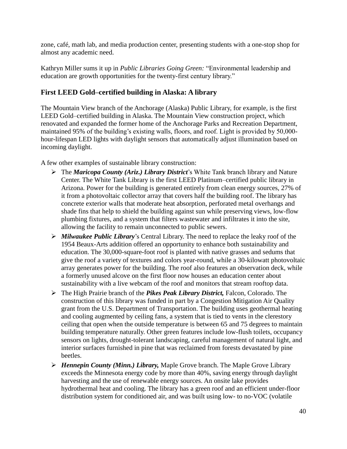zone, café, math lab, and media production center, presenting students with a one-stop shop for almost any academic need.

Kathryn Miller sums it up in *Public Libraries Going Green:* "Environmental leadership and education are growth opportunities for the twenty-first century library."

#### **First LEED Gold–certified building in Alaska: A library**

The Mountain View branch of the Anchorage (Alaska) Public Library, for example, is the first LEED Gold–certified building in Alaska. The Mountain View construction project, which renovated and expanded the former home of the Anchorage Parks and Recreation Department, maintained 95% of the building's existing walls, floors, and roof. Light is provided by 50,000 hour-lifespan LED lights with daylight sensors that automatically adjust illumination based on incoming daylight.

A few other examples of sustainable library construction:

- The *Maricopa County (Ariz.) Library District*'s White Tank branch library and Nature Center. The White Tank Library is the first LEED Platinum–certified public library in Arizona. Power for the building is generated entirely from clean energy sources, 27% of it from a photovoltaic collector array that covers half the building roof. The library has concrete exterior walls that moderate heat absorption, perforated metal overhangs and shade fins that help to shield the building against sun while preserving views, low-flow plumbing fixtures, and a system that filters wastewater and infiltrates it into the site, allowing the facility to remain unconnected to public sewers.
- *Milwaukee Public Library*'s Central Library. The need to replace the leaky roof of the 1954 Beaux-Arts addition offered an opportunity to enhance both sustainability and education. The 30,000-square-foot roof is planted with native grasses and sedums that give the roof a variety of textures and colors year-round, while a 30-kilowatt photovoltaic array generates power for the building. The roof also features an observation deck, while a formerly unused alcove on the first floor now houses an education center about sustainability with a live webcam of the roof and monitors that stream rooftop data.
- The High Prairie branch of the *Pikes Peak Library District,* Falcon, Colorado. The construction of this library was funded in part by a Congestion Mitigation Air Quality grant from the U.S. Department of Transportation. The building uses geothermal heating and cooling augmented by ceiling fans, a system that is tied to vents in the clerestory ceiling that open when the outside temperature is between 65 and 75 degrees to maintain building temperature naturally. Other green features include low-flush toilets, occupancy sensors on lights, drought-tolerant landscaping, careful management of natural light, and interior surfaces furnished in pine that was reclaimed from forests devastated by pine beetles.
- *Hennepin County (Minn.) Library,* Maple Grove branch. The Maple Grove Library exceeds the Minnesota energy code by more than 40%, saving energy through daylight harvesting and the use of renewable energy sources. An onsite lake provides hydrothermal heat and cooling. The library has a green roof and an efficient under-floor distribution system for conditioned air, and was built using low- to no-VOC (volatile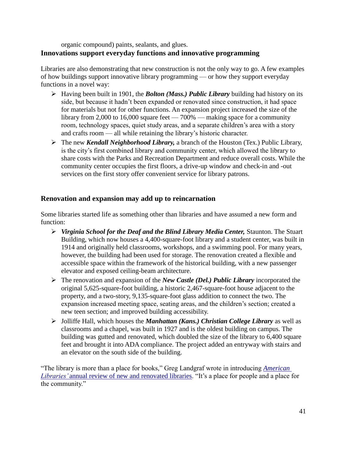organic compound) paints, sealants, and glues. **Innovations support everyday functions and innovative programming**

Libraries are also demonstrating that new construction is not the only way to go. A few examples of how buildings support innovative library programming — or how they support everyday functions in a novel way:

- Having been built in 1901, the *Bolton (Mass.) Public Library* building had history on its side, but because it hadn't been expanded or renovated since construction, it had space for materials but not for other functions. An expansion project increased the size of the library from 2,000 to 16,000 square feet  $-700\%$  — making space for a community room, technology spaces, quiet study areas, and a separate children's area with a story and crafts room — all while retaining the library's historic character.
- The new *Kendall Neighborhood Library,* a branch of the Houston (Tex.) Public Library, is the city's first combined library and community center, which allowed the library to share costs with the Parks and Recreation Department and reduce overall costs. While the community center occupies the first floors, a drive-up window and check-in and -out services on the first story offer convenient service for library patrons.

#### **Renovation and expansion may add up to reincarnation**

Some libraries started life as something other than libraries and have assumed a new form and function:

- *Virginia School for the Deaf and the Blind Library Media Center,* Staunton. The Stuart Building, which now houses a 4,400-square-foot library and a student center, was built in 1914 and originally held classrooms, workshops, and a swimming pool. For many years, however, the building had been used for storage. The renovation created a flexible and accessible space within the framework of the historical building, with a new passenger elevator and exposed ceiling-beam architecture.
- The renovation and expansion of the *New Castle (Del.) Public Library* incorporated the original 5,625-square-foot building, a historic 2,467-square-foot house adjacent to the property, and a two-story, 9,135-square-foot glass addition to connect the two. The expansion increased meeting space, seating areas, and the children's section; created a new teen section; and improved building accessibility.
- Jolliffe Hall, which houses the *Manhattan (Kans.) Christian College Library* as well as classrooms and a chapel, was built in 1927 and is the oldest building on campus. The building was gutted and renovated, which doubled the size of the library to 6,400 square feet and brought it into ADA compliance. The project added an entryway with stairs and an elevator on the south side of the building.

―The library is more than a place for books,‖ Greg Landgraf wrote in introducing *[American](http://americanlibrariesmagazine.org/librarydesign11)  Libraries'* [annual review of new and renovated libraries.](http://americanlibrariesmagazine.org/librarydesign11) "It's a place for people and a place for the community."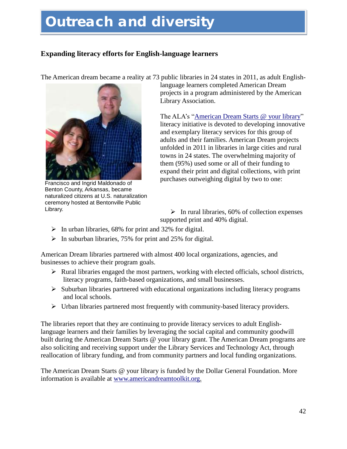# **Outreach and diversity**

#### **Expanding literacy efforts for English-language learners**

The American dream became a reality at 73 public libraries in 24 states in 2011, as adult English-



Francisco and Ingrid Maldonado of Benton County, Arkansas, became naturalized citizens at U.S. naturalization ceremony hosted at Bentonville Public Library.

language learners completed American Dream projects in a program administered by the American Library Association.

The ALA's "American Dream Starts @ your library" literacy initiative is devoted to developing innovative and exemplary literacy services for this group of adults and their families. American Dream projects unfolded in 2011 in libraries in large cities and rural towns in 24 states. The overwhelming majority of them (95%) used some or all of their funding to expand their print and digital collections, with print purchases outweighing digital by two to one:

 $\triangleright$  In rural libraries, 60% of collection expenses supported print and 40% digital.

- $\triangleright$  In urban libraries, 68% for print and 32% for digital.
- $\triangleright$  In suburban libraries, 75% for print and 25% for digital.

American Dream libraries partnered with almost 400 local organizations, agencies, and businesses to achieve their program goals.

- $\triangleright$  Rural libraries engaged the most partners, working with elected officials, school districts, literacy programs, faith-based organizations, and small businesses.
- $\triangleright$  Suburban libraries partnered with educational organizations including literacy programs and local schools.
- $\triangleright$  Urban libraries partnered most frequently with community-based literacy providers.

The libraries report that they are continuing to provide literacy services to adult Englishlanguage learners and their families by leveraging the social capital and community goodwill built during the American Dream Starts @ your library grant. The American Dream programs are also soliciting and receiving support under the Library Services and Technology Act, through reallocation of library funding, and from community partners and local funding organizations.

The American Dream Starts @ your library is funded by the Dollar General Foundation. More information is available at [www.americandreamtoolkit.org.](http://www.americandreamtoolkit.org/)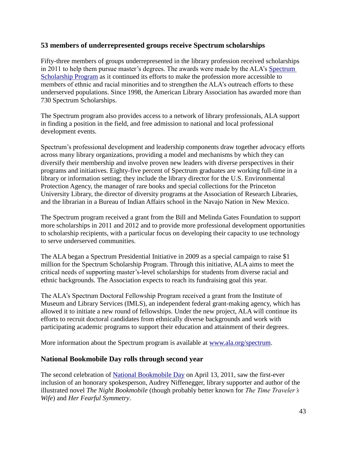#### **53 members of underrepresented groups receive Spectrum scholarships**

Fifty-three members of groups underrepresented in the library profession received scholarships in 2011 to help them pursue master's degrees. The awards were made by the ALA's [Spectrum](http://www.ala.org/offices/diversity/spectrum)  [Scholarship Program](http://www.ala.org/offices/diversity/spectrum) as it continued its efforts to make the profession more accessible to members of ethnic and racial minorities and to strengthen the ALA's outreach efforts to these underserved populations. Since 1998, the American Library Association has awarded more than 730 Spectrum Scholarships.

The Spectrum program also provides access to a network of library professionals, ALA support in finding a position in the field, and free admission to national and local professional development events.

Spectrum's professional development and leadership components draw together advocacy efforts across many library organizations, providing a model and mechanisms by which they can diversify their membership and involve proven new leaders with diverse perspectives in their programs and initiatives. Eighty-five percent of Spectrum graduates are working full-time in a library or information setting; they include the library director for the U.S. Environmental Protection Agency, the manager of rare books and special collections for the Princeton University Library, the director of diversity programs at the Association of Research Libraries, and the librarian in a Bureau of Indian Affairs school in the Navajo Nation in New Mexico.

The Spectrum program received a grant from the Bill and Melinda Gates Foundation to support more scholarships in 2011 and 2012 and to provide more professional development opportunities to scholarship recipients, with a particular focus on developing their capacity to use technology to serve underserved communities.

The ALA began a Spectrum Presidential Initiative in 2009 as a special campaign to raise \$1 million for the Spectrum Scholarship Program. Through this initiative, ALA aims to meet the critical needs of supporting master's-level scholarships for students from diverse racial and ethnic backgrounds. The Association expects to reach its fundraising goal this year.

The ALA's Spectrum Doctoral Fellowship Program received a grant from the Institute of Museum and Library Services (IMLS), an independent federal grant-making agency, which has allowed it to initiate a new round of fellowships. Under the new project, ALA will continue its efforts to recruit doctoral candidates from ethnically diverse backgrounds and work with participating academic programs to support their education and attainment of their degrees.

More information about the Spectrum program is available at [www.ala.org/spectrum.](http://www.ala.org/spectrum)

#### **National Bookmobile Day rolls through second year**

The second celebration of [National Bookmobile Day](http://www.ala.org/offices/olos/nbdhome) on April 13, 2011, saw the first-ever inclusion of an honorary spokesperson, Audrey Niffenegger, library supporter and author of the illustrated novel *The Night Bookmobile* (though probably better known for *The Time Traveler's Wife*) and *Her Fearful Symmetry*.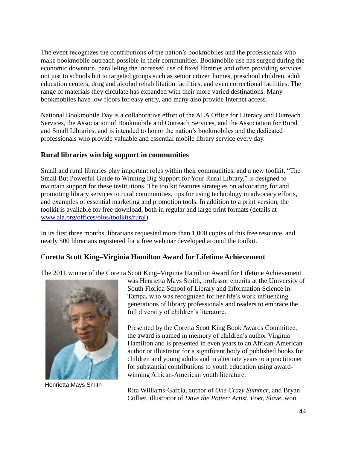The event recognizes the contributions of the nation's bookmobiles and the professionals who make bookmobile outreach possible in their communities. Bookmobile use has surged during the economic downturn, paralleling the increased use of fixed libraries and often providing services not just to schools but to targeted groups such as senior citizen homes, preschool children, adult education centers, drug and alcohol rehabilitation facilities, and even correctional facilities. The range of materials they circulate has expanded with their more varied destinations. Many bookmobiles have low floors for easy entry, and many also provide Internet access.

National Bookmobile Day is a collaborative effort of the ALA Office for Literacy and Outreach Services, the Association of Bookmobile and Outreach Services, and the Association for Rural and Small Libraries, and is intended to honor the nation's bookmobiles and the dedicated professionals who provide valuable and essential mobile library service every day.

#### **Rural libraries win big support in communities**

Small and rural libraries play important roles within their communities, and a new toolkit, "The Small But Powerful Guide to Winning Big Support for Your Rural Library," is designed to maintain support for these institutions. The toolkit features strategies on advocating for and promoting library services to rural communities, tips for using technology in advocacy efforts, and examples of essential marketing and promotion tools. In addition to a print version, the toolkit is available for free download, both in regular and large print formats (details at [www.ala.org/offices/olos/toolkits/rural\)](http://www.ala.org/offices/olos/toolkits/rural).

In its first three months, librarians requested more than 1,000 copies of this free resource, and nearly 500 librarians registered for a free webinar developed around the toolkit.

#### C**oretta Scott King–Virginia Hamilton Award for Lifetime Achievement**

The 2011 winner of the Coretta Scott King–Virginia Hamilton Award for Lifetime Achievement



Henrietta Mays Smith

was Henrietta Mays Smith, professor emerita at the University of South Florida School of Library and Information Science in Tampa**,** who was recognized for her life's work influencing generations of library professionals and readers to embrace the full diversity of children's literature.

Presented by the Coretta Scott King Book Awards Committee, the award is named in memory of children's author Virginia Hamilton and is presented in even years to an African-American author or illustrator for a significant body of published books for children and young adults and in alternate years to a practitioner for substantial contributions to youth education using awardwinning African-American youth literature.

Rita Williams-Garcia, author of *One Crazy Summer*, and Bryan Collier, illustrator of *Dave the Potter: Artist, Poet, Slave*, won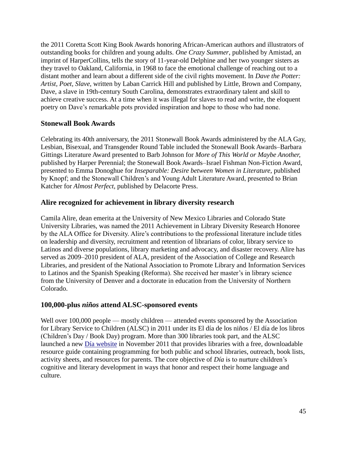the 2011 Coretta Scott King Book Awards honoring African-American authors and illustrators of outstanding books for children and young adults. *One Crazy Summer*, published by Amistad, an imprint of HarperCollins, tells the story of 11-year-old Delphine and her two younger sisters as they travel to Oakland, California, in 1968 to face the emotional challenge of reaching out to a distant mother and learn about a different side of the civil rights movement. In *Dave the Potter: Artist, Poet, Slave*, written by Laban Carrick Hill and published by Little, Brown and Company, Dave, a slave in 19th-century South Carolina, demonstrates extraordinary talent and skill to achieve creative success. At a time when it was illegal for slaves to read and write, the eloquent poetry on Dave's remarkable pots provided inspiration and hope to those who had none.

#### **Stonewall Book Awards**

Celebrating its 40th anniversary, the 2011 Stonewall Book Awards administered by the ALA Gay, Lesbian, Bisexual, and Transgender Round Table included the Stonewall Book Awards–Barbara Gittings Literature Award presented to Barb Johnson for *More of This World or Maybe Another,* published by Harper Perennial; the Stonewall Book Awards–Israel Fishman Non-Fiction Award, presented to Emma Donoghue for *Inseparable: Desire between Women in Literature*, published by Knopf; and the Stonewall Children's and Young Adult Literature Award, presented to Brian Katcher for *Almost Perfect,* published by Delacorte Press.

#### **Alire recognized for achievement in library diversity research**

Camila Alire, dean emerita at the University of New Mexico Libraries and Colorado State University Libraries, was named the 2011 Achievement in Library Diversity Research Honoree by the ALA Office for Diversity. Alire's contributions to the professional literature include titles on leadership and diversity, recruitment and retention of librarians of color, library service to Latinos and diverse populations, library marketing and advocacy, and disaster recovery. Alire has served as 2009–2010 president of ALA, president of the Association of College and Research Libraries, and president of the National Association to Promote Library and Information Services to Latinos and the Spanish Speaking (Reforma). She received her master's in library science from the University of Denver and a doctorate in education from the University of Northern Colorado.

#### **100,000-plus** *niños* **attend ALSC-sponsored events**

Well over 100,000 people — mostly children — attended events sponsored by the Association for Library Service to Children (ALSC) in 2011 under its El día de los niños / El día de los libros (Children's Day / Book Day) program. More than 300 libraries took part, and the ALSC launched a new [Día website](http://dia.ala.org/) in November 2011 that provides libraries with a free, downloadable resource guide containing programming for both public and school libraries, outreach, book lists, activity sheets, and resources for parents. The core objective of *Día* is to nurture children's cognitive and literary development in ways that honor and respect their home language and culture.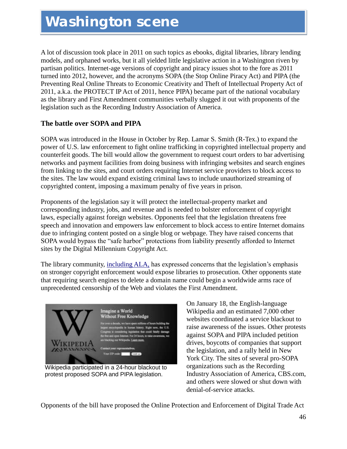## **Washington scene**

A lot of discussion took place in 2011 on such topics as ebooks, digital libraries, library lending models, and orphaned works, but it all yielded little legislative action in a Washington riven by partisan politics. Internet-age versions of copyright and piracy issues shot to the fore as 2011 turned into 2012, however, and the acronyms SOPA (the Stop Online Piracy Act) and PIPA (the Preventing Real Online Threats to Economic Creativity and Theft of Intellectual Property Act of 2011, a.k.a. the PROTECT IP Act of 2011, hence PIPA) became part of the national vocabulary as the library and First Amendment communities verbally slugged it out with proponents of the legislation such as the Recording Industry Association of America.

#### **The battle over SOPA and PIPA**

SOPA was introduced in the House in October by Rep. Lamar S. Smith (R-Tex.) to expand the power of U.S. law enforcement to fight online trafficking in copyrighted intellectual property and counterfeit goods. The bill would allow the government to request court orders to bar advertising networks and payment facilities from doing business with infringing websites and search engines from linking to the sites, and court orders requiring Internet service providers to block access to the sites. The law would expand existing criminal laws to include unauthorized streaming of copyrighted content, imposing a maximum penalty of five years in prison.

Proponents of the legislation say it will protect the intellectual-property market and corresponding industry, jobs, and revenue and is needed to bolster enforcement of copyright laws, especially against foreign websites. Opponents feel that the legislation threatens free speech and innovation and empowers law enforcement to block access to entire Internet domains due to infringing content posted on a single blog or webpage. They have raised concerns that SOPA would bypass the "safe harbor" protections from liability presently afforded to Internet sites by the Digital Millennium Copyright Act.

The library community, [including](http://www.ala.org/advocacy/copyright/copyrightlegislation) ALA, has expressed concerns that the legislation's emphasis on stronger copyright enforcement would expose libraries to prosecution. Other opponents state that requiring search engines to delete a domain name could begin a worldwide arms race of unprecedented censorship of the Web and violates the First Amendment.



Wikipedia participated in a 24-hour blackout to protest proposed SOPA and PIPA legislation.

On January 18, the English-language Wikipedia and an estimated 7,000 other websites coordinated a service blackout to raise awareness of the issues. Other protests against SOPA and PIPA included petition drives, boycotts of companies that support the legislation, and a rally held in New York City. The sites of several pro-SOPA organizations such as the Recording Industry Association of America, CBS.com, and others were slowed or shut down with denial-of-service attacks.

Opponents of the bill have proposed the Online Protection and Enforcement of Digital Trade Act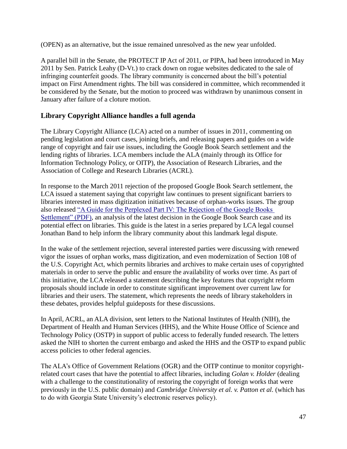(OPEN) as an alternative, but the issue remained unresolved as the new year unfolded.

A parallel bill in the Senate, the PROTECT IP Act of 2011, or PIPA, had been introduced in May 2011 by Sen. Patrick Leahy (D-Vt.) to crack down on rogue websites dedicated to the sale of infringing counterfeit goods. The library community is concerned about the bill's potential impact on First Amendment rights. The bill was considered in committee, which recommended it be considered by the Senate, but the motion to proceed was withdrawn by unanimous consent in January after failure of a cloture motion.

#### **Library Copyright Alliance handles a full agenda**

The Library Copyright Alliance (LCA) acted on a number of issues in 2011, commenting on pending legislation and court cases, joining briefs, and releasing papers and guides on a wide range of copyright and fair use issues, including the Google Book Search settlement and the lending rights of libraries. LCA members include the ALA (mainly through its Office for Information Technology Policy, or OITP), the Association of Research Libraries, and the Association of College and Research Libraries (ACRL).

In response to the March 2011 rejection of the proposed Google Book Search settlement, the LCA issued a statement saying that copyright law continues to present significant barriers to libraries interested in mass digitization initiatives because of orphan-works issues. The group also released "A Guide for the Perplexed Part IV: The Rejection of the Google Books Settlement" (PDF), an analysis of the latest decision in the Google Book Search case and its potential effect on libraries. This guide is the latest in a series prepared by LCA legal counsel Jonathan Band to help inform the library community about this landmark legal dispute.

In the wake of the settlement rejection, several interested parties were discussing with renewed vigor the issues of orphan works, mass digitization, and even modernization of Section 108 of the U.S. Copyright Act, which permits libraries and archives to make certain uses of copyrighted materials in order to serve the public and ensure the availability of works over time. As part of this initiative, the LCA released a statement describing the key features that copyright reform proposals should include in order to constitute significant improvement over current law for libraries and their users. The statement, which represents the needs of library stakeholders in these debates, provides helpful guideposts for these discussions.

In April, ACRL, an ALA division, sent letters to the National Institutes of Health (NIH), the Department of Health and Human Services (HHS), and the White House Office of Science and Technology Policy (OSTP) in support of public access to federally funded research. The letters asked the NIH to shorten the current embargo and asked the HHS and the OSTP to expand public access policies to other federal agencies.

The ALA's Office of Government Relations (OGR) and the OITP continue to monitor copyrightrelated court cases that have the potential to affect libraries, including *Golan v. Holder* (dealing with a challenge to the constitutionality of restoring the copyright of foreign works that were previously in the U.S. public domain) and *Cambridge University et al. v. Patton et al.* (which has to do with Georgia State University's electronic reserves policy).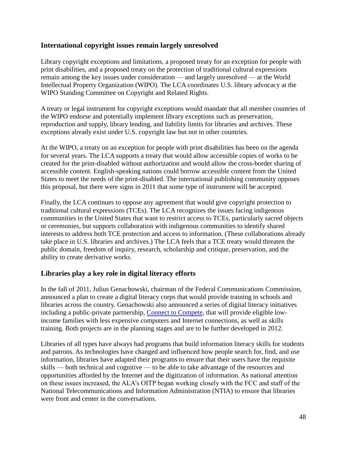#### **International copyright issues remain largely unresolved**

Library copyright exceptions and limitations, a proposed treaty for an exception for people with print disabilities, and a proposed treaty on the protection of traditional cultural expressions remain among the key issues under consideration — and largely unresolved — at the World Intellectual Property Organization (WIPO). The LCA coordinates U.S. library advocacy at the WIPO Standing Committee on Copyright and Related Rights.

A treaty or legal instrument for copyright exceptions would mandate that all member countries of the WIPO endorse and potentially implement library exceptions such as preservation, reproduction and supply, library lending, and liability limits for libraries and archives. These exceptions already exist under U.S. copyright law but not in other countries.

At the WIPO, a treaty on an exception for people with print disabilities has been on the agenda for several years. The LCA supports a treaty that would allow accessible copies of works to be created for the print-disabled without authorization and would allow the cross-border sharing of accessible content. English-speaking nations could borrow accessible content from the United States to meet the needs of the print-disabled. The international publishing community opposes this proposal, but there were signs in 2011 that some type of instrument will be accepted.

Finally, the LCA continues to oppose any agreement that would give copyright protection to traditional cultural expressions (TCEs). The LCA recognizes the issues facing indigenous communities in the United States that want to restrict access to TCEs, particularly sacred objects or ceremonies, but supports collaboration with indigenous communities to identify shared interests to address both TCE protection and access to information. (These collaborations already take place in U.S. libraries and archives.) The LCA feels that a TCE treaty would threaten the public domain, freedom of inquiry, research, scholarship and critique, preservation, and the ability to create derivative works.

#### **Libraries play a key role in digital literacy efforts**

In the fall of 2011, Julius Genachowski, chairman of the Federal Communications Commission, announced a plan to create a digital literacy corps that would provide training in schools and libraries across the country. Genachowski also announced a series of digital literacy initiatives including a public-private partnership, [Connect to Compete,](http://connect2compete.org/) that will provide eligible lowincome families with less expensive computers and Internet connections, as well as skills training. Both projects are in the planning stages and are to be further developed in 2012.

Libraries of all types have always had programs that build information literacy skills for students and patrons. As technologies have changed and influenced how people search for, find, and use information, libraries have adapted their programs to ensure that their users have the requisite skills — both technical and cognitive — to be able to take advantage of the resources and opportunities afforded by the Internet and the digitization of information. As national attention on these issues increased, the ALA's OITP began working closely with the FCC and staff of the National Telecommunications and Information Administration (NTIA) to ensure that libraries were front and center in the conversations.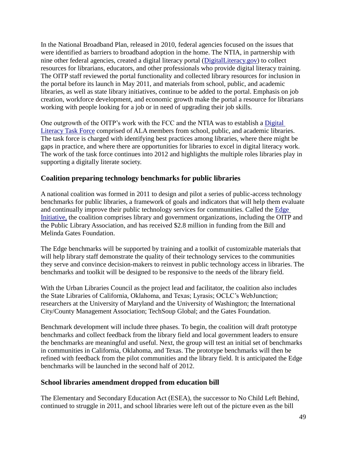In the National Broadband Plan, released in 2010, federal agencies focused on the issues that were identified as barriers to broadband adoption in the home. The NTIA, in partnership with nine other federal agencies, created a digital literacy portal [\(DigitalLiteracy.gov\)](http://www.digitalliteracy.gov/) to collect resources for librarians, educators, and other professionals who provide digital literacy training. The OITP staff reviewed the portal functionality and collected library resources for inclusion in the portal before its launch in May 2011, and materials from school, public, and academic libraries, as well as state library initiatives, continue to be added to the portal. Emphasis on job creation, workforce development, and economic growth make the portal a resource for librarians working with people looking for a job or in need of upgrading their job skills.

One outgrowth of the OITP's work with the FCC and the NTIA was to establish a [Digital](http://www.districtdispatch.org/2011/05/oitp-digital-literacy-task-force-is-up-and-running/)  [Literacy Task Force](http://www.districtdispatch.org/2011/05/oitp-digital-literacy-task-force-is-up-and-running/) comprised of ALA members from school, public, and academic libraries. The task force is charged with identifying best practices among libraries, where there might be gaps in practice, and where there are opportunities for libraries to excel in digital literacy work. The work of the task force continues into 2012 and highlights the multiple roles libraries play in supporting a digitally literate society.

#### **Coalition preparing technology benchmarks for public libraries**

A national coalition was formed in 2011 to design and pilot a series of public-access technology benchmarks for public libraries, a framework of goals and indicators that will help them evaluate and continually improve their public technology services for communities. Called the [Edge](http://www.libraryedge.org/)  [Initiative,](http://www.libraryedge.org/) the coalition comprises library and government organizations, including the OITP and the Public Library Association, and has received \$2.8 million in funding from the Bill and Melinda Gates Foundation.

The Edge benchmarks will be supported by training and a toolkit of customizable materials that will help library staff demonstrate the quality of their technology services to the communities they serve and convince decision-makers to reinvest in public technology access in libraries. The benchmarks and toolkit will be designed to be responsive to the needs of the library field.

With the Urban Libraries Council as the project lead and facilitator, the coalition also includes the State Libraries of California, Oklahoma, and Texas; Lyrasis; OCLC's WebJunction; researchers at the University of Maryland and the University of Washington; the International City/County Management Association; TechSoup Global; and the Gates Foundation.

Benchmark development will include three phases. To begin, the coalition will draft prototype benchmarks and collect feedback from the library field and local government leaders to ensure the benchmarks are meaningful and useful. Next, the group will test an initial set of benchmarks in communities in California, Oklahoma, and Texas. The prototype benchmarks will then be refined with feedback from the pilot communities and the library field. It is anticipated the Edge benchmarks will be launched in the second half of 2012.

#### **School libraries amendment dropped from education bill**

The Elementary and Secondary Education Act (ESEA), the successor to No Child Left Behind, continued to struggle in 2011, and school libraries were left out of the picture even as the bill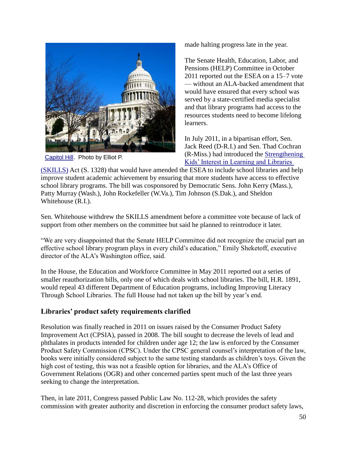

[Capitol Hill.](http://www.flickr.com/photos/pesut/364905354/sizes/l/) Photo by Elliot P.

made halting progress late in the year.

The Senate Health, Education, Labor, and Pensions (HELP) Committee in October 2011 reported out the ESEA on a 15–7 vote — without an ALA-backed amendment that would have ensured that every school was served by a state-certified media specialist and that library programs had access to the resources students need to become lifelong learners.

In July 2011, in a bipartisan effort, Sen. Jack Reed (D-R.I.) and Sen. Thad Cochran (R-Miss.) had introduced the [Strengthening](http://www.ala.org/ala/issuesadvocacy/advleg/federallegislation/eduleg/skillsact/index.cfm)  [Kids' Interest in Learning and Libraries](http://www.ala.org/ala/issuesadvocacy/advleg/federallegislation/eduleg/skillsact/index.cfm) 

[\(SKILLS\)](http://www.ala.org/ala/issuesadvocacy/advleg/federallegislation/eduleg/skillsact/index.cfm) Act (S. 1328) that would have amended the ESEA to include school libraries and help improve student academic achievement by ensuring that more students have access to effective school library programs. The bill was cosponsored by Democratic Sens. John Kerry (Mass.), Patty Murray (Wash.), John Rockefeller (W.Va.), Tim Johnson (S.Dak.), and Sheldon Whitehouse (R.I.).

Sen. Whitehouse withdrew the SKILLS amendment before a committee vote because of lack of support from other members on the committee but said he planned to reintroduce it later.

"We are very disappointed that the Senate HELP Committee did not recognize the crucial part an effective school library program plays in every child's education," Emily Sheketoff, executive director of the ALA's Washington office, said.

In the House, the Education and Workforce Committee in May 2011 reported out a series of smaller reauthorization bills, only one of which deals with school libraries. The bill, H.R. 1891, would repeal 43 different Department of Education programs, including Improving Literacy Through School Libraries. The full House had not taken up the bill by year's end.

#### **Libraries' product safety requirements clarified**

Resolution was finally reached in 2011 on issues raised by the Consumer Product Safety Improvement Act (CPSIA), passed in 2008. The bill sought to decrease the levels of lead and phthalates in products intended for children under age 12; the law is enforced by the Consumer Product Safety Commission (CPSC). Under the CPSC general counsel's interpretation of the law, books were initially considered subject to the same testing standards as children's toys. Given the high cost of testing, this was not a feasible option for libraries, and the ALA's Office of Government Relations (OGR) and other concerned parties spent much of the last three years seeking to change the interpretation.

Then, in late 2011, Congress passed Public Law No. 112-28, which provides the safety commission with greater authority and discretion in enforcing the consumer product safety laws,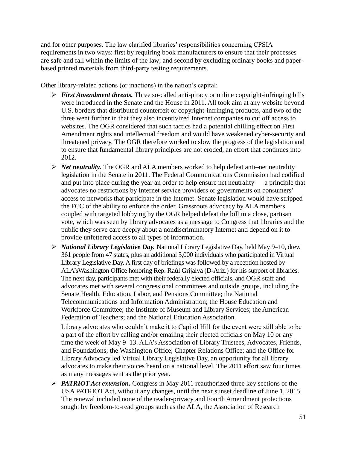and for other purposes. The law clarified libraries' responsibilities concerning CPSIA requirements in two ways: first by requiring book manufacturers to ensure that their processes are safe and fall within the limits of the law; and second by excluding ordinary books and paperbased printed materials from third-party testing requirements.

Other library-related actions (or inactions) in the nation's capital:

- *First Amendment threats.* Three so-called anti-piracy or online copyright-infringing bills were introduced in the Senate and the House in 2011. All took aim at any website beyond U.S. borders that distributed counterfeit or copyright-infringing products, and two of the three went further in that they also incentivized Internet companies to cut off access to websites. The OGR considered that such tactics had a potential chilling effect on First Amendment rights and intellectual freedom and would have weakened cyber-security and threatened privacy. The OGR therefore worked to slow the progress of the legislation and to ensure that fundamental library principles are not eroded, an effort that continues into 2012.
- *Net neutrality.* The OGR and ALA members worked to help defeat anti–net neutrality legislation in the Senate in 2011. The Federal Communications Commission had codified and put into place during the year an order to help ensure net neutrality — a principle that advocates no restrictions by Internet service providers or governments on consumers' access to networks that participate in the Internet. Senate legislation would have stripped the FCC of the ability to enforce the order. Grassroots advocacy by ALA members coupled with targeted lobbying by the OGR helped defeat the bill in a close, partisan vote, which was seen by library advocates as a message to Congress that libraries and the public they serve care deeply about a nondiscriminatory Internet and depend on it to provide unfettered access to all types of information.
- *National Library Legislative Day.* National Library Legislative Day, held May 9–10, drew 361 people from 47 states, plus an additional 5,000 individuals who participated in Virtual Library Legislative Day. A first day of briefings was followed by a reception hosted by ALA'sWashington Office honoring Rep. Raúl Grijalva (D-Ariz.) for his support of libraries. The next day, participants met with their federally elected officials, and OGR staff and advocates met with several congressional committees and outside groups, including the Senate Health, Education, Labor, and Pensions Committee; the National Telecommunications and Information Administration; the House Education and Workforce Committee; the Institute of Museum and Library Services; the American Federation of Teachers; and the National Education Association.

Library advocates who couldn't make it to Capitol Hill for the event were still able to be a part of the effort by calling and/or emailing their elected officials on May 10 or any time the week of May 9–13. ALA's Association of Library Trustees, Advocates, Friends, and Foundations; the Washington Office; Chapter Relations Office; and the Office for Library Advocacy led Virtual Library Legislative Day, an opportunity for all library advocates to make their voices heard on a national level. The 2011 effort saw four times as many messages sent as the prior year.

 *PATRIOT Act extension.* Congress in May 2011 reauthorized three key sections of the USA PATRIOT Act, without any changes, until the next sunset deadline of June 1, 2015. The renewal included none of the reader-privacy and Fourth Amendment protections sought by freedom-to-read groups such as the ALA, the Association of Research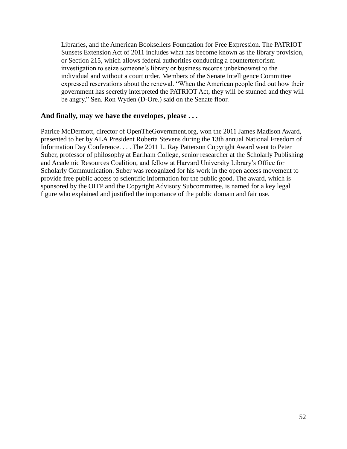Libraries, and the American Booksellers Foundation for Free Expression. The PATRIOT Sunsets Extension Act of 2011 includes what has become known as the library provision, or Section 215, which allows federal authorities conducting a counterterrorism investigation to seize someone's library or business records unbeknownst to the individual and without a court order. Members of the Senate Intelligence Committee expressed reservations about the renewal. "When the American people find out how their government has secretly interpreted the PATRIOT Act, they will be stunned and they will be angry," Sen. Ron Wyden (D-Ore.) said on the Senate floor.

#### **And finally, may we have the envelopes, please . . .**

Patrice McDermott, director of OpenTheGovernment.org, won the 2011 James Madison Award, presented to her by ALA President Roberta Stevens during the 13th annual National Freedom of Information Day Conference. . . . The 2011 L. Ray Patterson Copyright Award went to Peter Suber, professor of philosophy at Earlham College, senior researcher at the Scholarly Publishing and Academic Resources Coalition, and fellow at Harvard University Library's Office for Scholarly Communication. Suber was recognized for his work in the open access movement to provide free public access to scientific information for the public good. The award, which is sponsored by the OITP and the Copyright Advisory Subcommittee, is named for a key legal figure who explained and justified the importance of the public domain and fair use.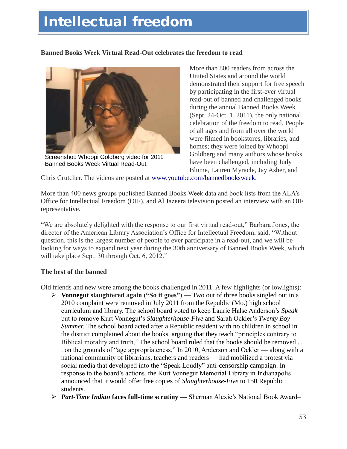# **Intellectual freedom**

#### **Banned Books Week Virtual Read-Out celebrates the freedom to read**



Screenshot: Whoopi Goldberg video for 2011 Banned Books Week Virtual Read-Out.

More than 800 readers from across the United States and around the world demonstrated their support for free speech by participating in the first-ever virtual read-out of banned and challenged books during the annual Banned Books Week (Sept. 24-Oct. 1, 2011), the only national celebration of the freedom to read. People of all ages and from all over the world were filmed in bookstores, libraries, and homes; they were joined by Whoopi Goldberg and many authors whose books have been challenged, including Judy Blume, Lauren Myracle, Jay Asher, and

Chris Crutcher. The videos are posted at [www.youtube.com/bannedbooksweek.](http://www.youtube.com/bannedbooksweek)

More than 400 news groups published Banned Books Week data and book lists from the ALA's Office for Intellectual Freedom (OIF), and Al Jazeera television posted an interview with an OIF representative.

―We are absolutely delighted with the response to our first virtual read-out,‖ Barbara Jones, the director of the American Library Association's Office for Intellectual Freedom, said. "Without question, this is the largest number of people to ever participate in a read-out, and we will be looking for ways to expand next year during the 30th anniversary of Banned Books Week, which will take place Sept. 30 through Oct. 6, 2012."

#### **The best of the banned**

Old friends and new were among the books challenged in 2011. A few highlights (or lowlights):

- **≻** Vonnegut slaughtered again ("So it goes") Two out of three books singled out in a 2010 complaint were removed in July 2011 from the Republic (Mo.) high school curriculum and library. The school board voted to keep Laurie Halse Anderson's *Speak* but to remove Kurt Vonnegut's *Slaughterhouse-Five* and Sarah Ockler's *Twenty Boy Summer.* The school board acted after a Republic resident with no children in school in the district complained about the books, arguing that they teach "principles contrary to Biblical morality and truth," The school board ruled that the books should be removed . . . on the grounds of "age appropriateness." In 2010, Anderson and Ockler — along with a national community of librarians, teachers and readers –– had mobilized a protest via social media that developed into the "Speak Loudly" anti-censorship campaign. In response to the board's actions, the Kurt Vonnegut Memorial Library in Indianapolis announced that it would offer free copies of *Slaughterhouse-Five* to 150 Republic students.
- *Part-Time Indian* **faces full-time scrutiny —** Sherman Alexie's National Book Award–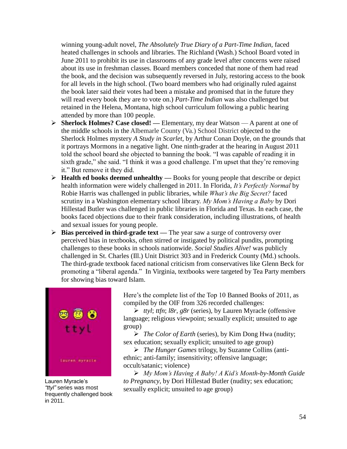winning young-adult novel, *The Absolutely True Diary of a Part-Time Indian,* faced heated challenges in schools and libraries. The Richland (Wash.) School Board voted in June 2011 to prohibit its use in classrooms of any grade level after concerns were raised about its use in freshman classes. Board members conceded that none of them had read the book, and the decision was subsequently reversed in July, restoring access to the book for all levels in the high school. (Two board members who had originally ruled against the book later said their votes had been a mistake and promised that in the future they will read every book they are to vote on.) *Part-Time Indian* was also challenged but retained in the Helena, Montana, high school curriculum following a public hearing attended by more than 100 people.

- **Sherlock Holmes? Case closed! —** Elementary, my dear Watson A parent at one of the middle schools in the Albemarle County (Va.) School District objected to the Sherlock Holmes mystery *A Study in Scarlet,* by Arthur Conan Doyle, on the grounds that it portrays Mormons in a negative light. One ninth-grader at the hearing in August 2011 told the school board she objected to banning the book. "I was capable of reading it in sixth grade," she said. "I think it was a good challenge. I'm upset that they're removing it." But remove it they did.
- **Health ed books deemed unhealthy —** Books for young people that describe or depict health information were widely challenged in 2011. In Florida, *It's Perfectly Normal* by Robie Harris was challenged in public libraries, while *What's the Big Secret?* faced scrutiny in a Washington elementary school library. *My Mom's Having a Baby* by Dori Hillestad Butler was challenged in public libraries in Florida and Texas. In each case, the books faced objections due to their frank consideration, including illustrations, of health and sexual issues for young people.
- **►** Bias perceived in third-grade text The year saw a surge of controversy over perceived bias in textbooks, often stirred or instigated by political pundits, prompting challenges to these books in schools nationwide. *Social Studies Alive!* was publicly challenged in St. Charles (Ill.) Unit District 303 and in Frederick County (Md.) schools. The third-grade textbook faced national criticism from conservatives like Glenn Beck for promoting a "liberal agenda." In Virginia, textbooks were targeted by Tea Party members for showing bias toward Islam.



Lauren Myracle"s *―ttyl‖* series was most frequently challenged book in 2011.

Here's the complete list of the Top 10 Banned Books of 2011, as compiled by the OIF from 326 recorded challenges:

 *ttyl*; *ttfn*; *l8r*, *g8r* (series), by Lauren Myracle (offensive language; religious viewpoint; sexually explicit; unsuited to age group)

 *The Color of Earth* (series), by Kim Dong Hwa (nudity; sex education; sexually explicit; unsuited to age group)

 *The Hunger Games* trilogy, by Suzanne Collins (antiethnic; anti-family; insensitivity; offensive language; occult/satanic; violence)

 *My Mom's Having A Baby! A Kid's Month-by-Month Guide to Pregnancy*, by Dori Hillestad Butler (nudity; sex education; sexually explicit; unsuited to age group)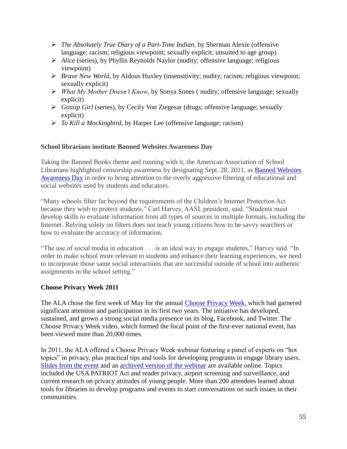- *The Absolutely True Diary of a Part-Time Indian*, by Sherman Alexie (offensive language; racism; religious viewpoint; sexually explicit; unsuited to age group)
- *Alice* (series), by Phyllis Reynolds Naylor (nudity; offensive language; religious viewpoint)
- *Brave New World*, by Aldous Huxley (insensitivity; nudity; racism; religious viewpoint; sexually explicit)
- *What My Mother Doesn't Know*, by Sonya Sones ( nudity; offensive language; sexually explicit)
- *Gossip Girl* (series), by Cecily Von Ziegesar (drugs; offensive language; sexually explicit)
- *To Kill a Mockingbird*, by Harper Lee (offensive language; racism)

#### **School librarians institute Banned Websites Awareness Day**

Taking the Banned Books theme and running with it, the American Association of School Librarians highlighted censorship awareness by designating Sept. 28, 2011, as [Banned Websites](http://www.ala.org/aasl/aaslissues/bwad/bwad)  [Awareness Day](http://www.ala.org/aasl/aaslissues/bwad/bwad) in order to bring attention to the overly aggressive filtering of educational and social websites used by students and educators.

―Many schools filter far beyond the requirements of the Children's Internet Protection Act because they wish to protect students," Carl Harvey, AASL president, said. "Students must develop skills to evaluate information from all types of sources in multiple formats, including the Internet. Relying solely on filters does not teach young citizens how to be savvy searchers or how to evaluate the accuracy of information.

"The use of social media in education . . . is an ideal way to engage students," Harvey said. "In order to make school more relevant to students and enhance their learning experiences, we need to incorporate those same social interactions that are successful outside of school into authentic assignments in the school setting."

#### **Choose Privacy Week 2011**

The ALA chose the first week of May for the annual [Choose Privacy Week,](http://www.privacyrevolution.org/index.php/privacy_week/) which had garnered significant attention and participation in its first two years. The initiative has developed, sustained, and grown a strong social media presence on its blog, Facebook, and Twitter. The Choose Privacy Week video, which formed the focal point of the first-ever national event, has been viewed more than 20,000 times.

In 2011, the ALA offered a Choose Privacy Week webinar featuring a panel of experts on "hot topics" in privacy, plus practical tips and tools for developing programs to engage library users. [Slides from the event](http://www.slideshare.net/alapubishing/al-oif-chooseprivacyweekwebinar2011) and an [archived version of the webinar](https://alapublishing.webex.com/alapublishing/lsr.php?AT=pb&SP=EC&rID=3444182&rKey=8d140b37318985c1) are available online. Topics included the USA PATRIOT Act and reader privacy, airport screening and surveillance, and current research on privacy attitudes of young people. More than 200 attendees learned about tools for libraries to develop programs and events to start conversations on such issues in their communities.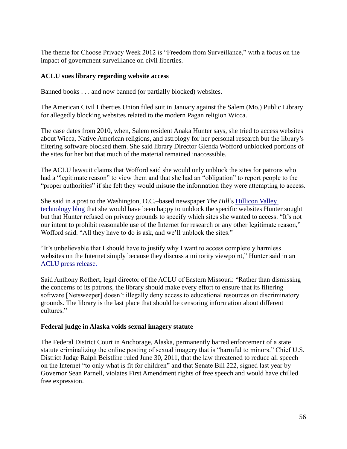The theme for Choose Privacy Week 2012 is "Freedom from Surveillance," with a focus on the impact of government surveillance on civil liberties.

#### **ACLU sues library regarding website access**

Banned books . . . and now banned (or partially blocked) websites.

The American Civil Liberties Union filed suit in January against the Salem (Mo.) Public Library for allegedly blocking websites related to the modern Pagan religion Wicca.

The case dates from 2010, when, Salem resident Anaka Hunter says, she tried to access websites about Wicca, Native American religions, and astrology for her personal research but the library's filtering software blocked them. She said library Director Glenda Wofford unblocked portions of the sites for her but that much of the material remained inaccessible.

The ACLU lawsuit claims that Wofford said she would only unblock the sites for patrons who had a "legitimate reason" to view them and that she had an "obligation" to report people to the "proper authorities" if she felt they would misuse the information they were attempting to access.

She said in a post to the Washington, D.C.–based newspaper *The Hill*'s [Hillicon Valley](http://thehill.com/blogs/hillicon-valley/technology/202073-aclu-sues-library-for-blocking-wiccan-websites)  [technology blog](http://thehill.com/blogs/hillicon-valley/technology/202073-aclu-sues-library-for-blocking-wiccan-websites) that she would have been happy to unblock the specific websites Hunter sought but that Hunter refused on privacy grounds to specify which sites she wanted to access. "It's not our intent to prohibit reasonable use of the Internet for research or any other legitimate reason," Wofford said. "All they have to do is ask, and we'll unblock the sites."

―It's unbelievable that I should have to justify why I want to access completely harmless websites on the Internet simply because they discuss a minority viewpoint," Hunter said in an [ACLU press release.](http://www.aclu-em.org/pressroom/2012pressreleases/010312aclufilessuitstopmol.htm)

Said Anthony Rothert, legal director of the ACLU of Eastern Missouri: "Rather than dismissing the concerns of its patrons, the library should make every effort to ensure that its filtering software [Netsweeper] doesn't illegally deny access to educational resources on discriminatory grounds. The library is the last place that should be censoring information about different cultures."

#### **Federal judge in Alaska voids sexual imagery statute**

The Federal District Court in Anchorage, Alaska, permanently barred enforcement of a state statute criminalizing the online posting of sexual imagery that is "harmful to minors." Chief U.S. District Judge Ralph Beistline ruled June 30, 2011, that the law threatened to reduce all speech on the Internet "to only what is fit for children" and that Senate Bill 222, signed last year by Governor Sean Parnell, violates First Amendment rights of free speech and would have chilled free expression.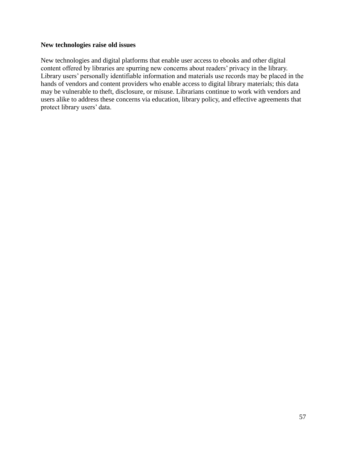#### **New technologies raise old issues**

New technologies and digital platforms that enable user access to ebooks and other digital content offered by libraries are spurring new concerns about readers' privacy in the library. Library users' personally identifiable information and materials use records may be placed in the hands of vendors and content providers who enable access to digital library materials; this data may be vulnerable to theft, disclosure, or misuse. Librarians continue to work with vendors and users alike to address these concerns via education, library policy, and effective agreements that protect library users' data.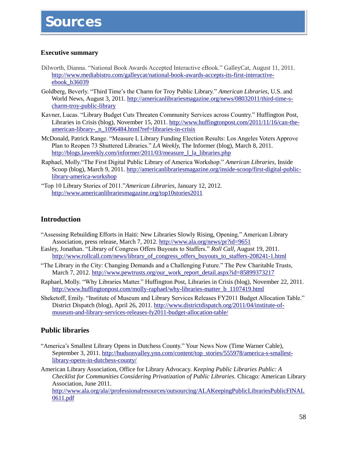### **Sources**

#### **Executive summary**

- Dilworth, Dianna. "National Book Awards Accepted Interactive eBook." GalleyCat, August 11, 2011. [http://www.mediabistro.com/galleycat/national-book-awards-accepts-its-first-interactive](http://www.mediabistro.com/galleycat/national-book-awards-accepts-its-first-interactive-ebook_b36039)[ebook\\_b36039](http://www.mediabistro.com/galleycat/national-book-awards-accepts-its-first-interactive-ebook_b36039)
- Goldberg, Beverly. "Third Time's the Charm for Troy Public Library." *American Libraries*, U.S. and World News, August 3, 2011. [http://americanlibrariesmagazine.org/news/08032011/third-time-s](http://americanlibrariesmagazine.org/news/08032011/third-time-s-charm-troy-public-library)[charm-troy-public-library](http://americanlibrariesmagazine.org/news/08032011/third-time-s-charm-troy-public-library)
- Kavner, Lucas. "Library Budget Cuts Threaten Community Services across Country." Huffington Post, Libraries in Crisis (blog), November 15, 2011. [http://www.huffingtonpost.com/2011/11/16/can-the](http://www.huffingtonpost.com/2011/11/16/can-the-american-library-_n_1096484.html?ref=libraries-in-crisis)[american-library-\\_n\\_1096484.html?ref=libraries-in-crisis](http://www.huffingtonpost.com/2011/11/16/can-the-american-library-_n_1096484.html?ref=libraries-in-crisis)
- McDonald, Patrick Range. "Measure L Library Funding Election Results: Los Angeles Voters Approve Plan to Reopen 73 Shuttered Libraries." *LA Weekly*, The Informer (blog), March 8, 2011. [http://blogs.laweekly.com/informer/2011/03/measure\\_l\\_la\\_libraries.php](http://blogs.laweekly.com/informer/2011/03/measure_l_la_libraries.php)
- Raphael, Molly."The First Digital Public Library of America Workshop." *American Libraries*, Inside Scoop (blog), March 9, 2011. [http://americanlibrariesmagazine.org/inside-scoop/first-digital-public](http://americanlibrariesmagazine.org/inside-scoop/first-digital-public-library-america-workshop)[library-america-workshop](http://americanlibrariesmagazine.org/inside-scoop/first-digital-public-library-america-workshop)
- ―Top 10 Library Stories of 2011.‖*American Libraries,* January 12, 2012. <http://www.americanlibrariesmagazine.org/top10stories2011>

#### **Introduction**

- ―Assessing Rebuilding Efforts in Haiti: New Libraries Slowly Rising, Opening.‖ American Library Association, press release, March 7, 2012.<http://www.ala.org/news/pr?id=9651>
- Easley, Jonathan. "Library of Congress Offers Buyouts to Staffers." *Roll Call*, August 19, 2011. [http://www.rollcall.com/news/library\\_of\\_congress\\_offers\\_buyouts\\_to\\_staffers-208241-1.html](http://www.rollcall.com/news/library_of_congress_offers_buyouts_to_staffers-208241-1.html)
- ―The Library in the City: Changing Demands and a Challenging Future.‖ The Pew Charitable Trusts, March 7, 2012. [http://www.pewtrusts.org/our\\_work\\_report\\_detail.aspx?id=85899373217](http://www.pewtrusts.org/our_work_report_detail.aspx?id=85899373217)
- Raphael, Molly. "Why Libraries Matter." Huffington Post, Libraries in Crisis (blog), November 22, 2011. [http://www.huffingtonpost.com/molly-raphael/why-libraries-matter\\_b\\_1107419.html](http://www.huffingtonpost.com/molly-raphael/why-libraries-matter_b_1107419.html)
- Sheketoff, Emily. "Institute of Museum and Library Services Releases FY2011 Budget Allocation Table." District Dispatch (blog), April 26, 2011[. http://www.districtdispatch.org/2011/04/institute-of](http://www.districtdispatch.org/2011/04/institute-of-museum-and-library-services-releases-fy2011-budget-allocation-table/)[museum-and-library-services-releases-fy2011-budget-allocation-table/](http://www.districtdispatch.org/2011/04/institute-of-museum-and-library-services-releases-fy2011-budget-allocation-table/)

#### **Public libraries**

- "America's Smallest Library Opens in Dutchess County." Your News Now (Time Warner Cable), September 3, 2011. [http://hudsonvalley.ynn.com/content/top\\_stories/555978/america-s-smallest](http://hudsonvalley.ynn.com/content/top_stories/555978/america-s-smallest-library-opens-in-dutchess-county/)[library-opens-in-dutchess-county/](http://hudsonvalley.ynn.com/content/top_stories/555978/america-s-smallest-library-opens-in-dutchess-county/)
- American Library Association, Office for Library Advocacy. *Keeping Public Libraries Public: A Checklist for Communities Considering Privatization of Public Libraries.* Chicago: American Library Association, June 2011. [http://www.ala.org/ala//professionalresources/outsourcing/ALAKeepingPublicLibrariesPublicFINAL](http://www.ala.org/ala/professionalresources/outsourcing/ALAKeepingPublicLibrariesPublicFINAL0611.pdf) [0611.pdf](http://www.ala.org/ala/professionalresources/outsourcing/ALAKeepingPublicLibrariesPublicFINAL0611.pdf)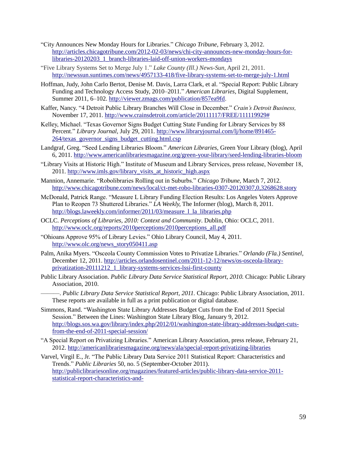- ―City Announces New Monday Hours for Libraries.‖ *Chicago Tribune,* February 3, 2012. [http://articles.chicagotribune.com/2012-02-03/news/chi-city-announces-new-monday-hours-for](http://articles.chicagotribune.com/2012-02-03/news/chi-city-announces-new-monday-hours-for-libraries-20120203_1_branch-libraries-laid-off-union-workers-mondays)[libraries-20120203\\_1\\_branch-libraries-laid-off-union-workers-mondays](http://articles.chicagotribune.com/2012-02-03/news/chi-city-announces-new-monday-hours-for-libraries-20120203_1_branch-libraries-laid-off-union-workers-mondays)
- ―Five Library Systems Set to Merge July 1.‖ *Lake County (Ill.) News-Sun,* April 21, 2011. <http://newssun.suntimes.com/news/4957133-418/five-library-systems-set-to-merge-july-1.html>
- Hoffman, Judy, John Carlo Bertot, Denise M. Davis, Larra Clark, et al. "Special Report: Public Library Funding and Technology Access Study, 2010–2011.‖ *American Libraries,* Digital Supplement, Summer 2011, 6–102. [http://viewer.zmags.com/publication/857ea9fd.](http://viewer.zmags.com/publication/857ea9fd)
- Kaffer, Nancy. "4 Detroit Public Library Branches Will Close in December." Crain's Detroit Business, November 17, 2011. [http://www.crainsdetroit.com/article/20111117/FREE/111119929#](http://www.crainsdetroit.com/article/20111117/FREE/111119929)
- Kelley, Michael. "Texas Governor Signs Budget Cutting State Funding for Library Services by 88 Percent." *Library Journal*, July 29, 2011. [http://www.libraryjournal.com/lj/home/891465-](http://www.libraryjournal.com/lj/home/891465-264/texas_governor_signs_budget_cutting.html.csp) [264/texas\\_governor\\_signs\\_budget\\_cutting.html.csp](http://www.libraryjournal.com/lj/home/891465-264/texas_governor_signs_budget_cutting.html.csp)
- Landgraf, Greg. "Seed Lending Libraries Bloom." *American Libraries*, Green Your Library (blog), April 6, 2011.<http://www.americanlibrariesmagazine.org/green-your-library/seed-lending-libraries-bloom>
- ―Library Visits at Historic High.‖ Institute of Museum and Library Services, press release, November 18, 2011. [http://www.imls.gov/library\\_visits\\_at\\_historic\\_high.aspx](http://www.imls.gov/library_visits_at_historic_high.aspx)
- Mannion, Annemarie. "Robolibraries Rolling out in Suburbs." *Chicago Tribune*, March 7, 2012. <http://www.chicagotribune.com/news/local/ct-met-robo-libraries-0307-20120307,0,3268628.story>
- McDonald, Patrick Range. "Measure L Library Funding Election Results: Los Angeles Voters Approve Plan to Reopen 73 Shuttered Libraries." *LA Weekly*, The Informer (blog), March 8, 2011. [http://blogs.laweekly.com/informer/2011/03/measure\\_l\\_la\\_libraries.php](http://blogs.laweekly.com/informer/2011/03/measure_l_la_libraries.php)
- OCLC. *Perceptions of Libraries, 2010: Context and Community*. Dublin, Ohio: OCLC, 2011. [http://www.oclc.org/reports/2010perceptions/2010perceptions\\_all.pdf](http://www.oclc.org/reports/2010perceptions/2010perceptions_all.pdf)
- ―Ohioans Approve 95% of Library Levies.‖ Ohio Library Council, May 4, 2011. [http://www.olc.org/news\\_story050411.asp](http://www.olc.org/news_story050411.asp)
- Palm, Anika Myers. "Osceola County Commission Votes to Privatize Libraries." Orlando (Fla.) Sentinel, December 12, 2011. [http://articles.orlandosentinel.com/2011-12-12/news/os-osceola-library](http://articles.orlandosentinel.com/2011-12-12/news/os-osceola-library-privatization-20111212_1_library-systems-services-lssi-first-county)[privatization-20111212\\_1\\_library-systems-services-lssi-first-county](http://articles.orlandosentinel.com/2011-12-12/news/os-osceola-library-privatization-20111212_1_library-systems-services-lssi-first-county)
- Public Library Association. *Public Library Data Service Statistical Report, 2010.* Chicago: Public Library Association, 2010.
	- ———. *Public Library Data Service Statistical Report, 2011.* Chicago: Public Library Association, 2011. These reports are available in full as a print publication or digital database.
- Simmons, Rand. ―Washington State Library Addresses Budget Cuts from the End of 2011 Special Session." Between the Lines: Washington State Library Blog, January 9, 2012. [http://blogs.sos.wa.gov/library/index.php/2012/01/washington-state-library-addresses-budget-cuts](http://blogs.sos.wa.gov/library/index.php/2012/01/washington-state-library-addresses-budget-cuts-from-the-end-of-2011-special-session/)[from-the-end-of-2011-special-session/](http://blogs.sos.wa.gov/library/index.php/2012/01/washington-state-library-addresses-budget-cuts-from-the-end-of-2011-special-session/)
- ―A Special Report on Privatizing Libraries.‖ American Library Association, press release, February 21, 2012.<http://americanlibrariesmagazine.org/news/ala/special-report-privatizing-libraries>
- Varvel, Virgil E., Jr. "The Public Library Data Service 2011 Statistical Report: Characteristics and Trends.‖ *Public Libraries* 50, no. 5 (September-October 2011). [http://publiclibrariesonline.org/magazines/featured-articles/public-library-data-service-2011](http://publiclibrariesonline.org/magazines/featured-articles/public-library-data-service-2011-statistical-report-characteristics-and-) [statistical-report-characteristics-and-](http://publiclibrariesonline.org/magazines/featured-articles/public-library-data-service-2011-statistical-report-characteristics-and-)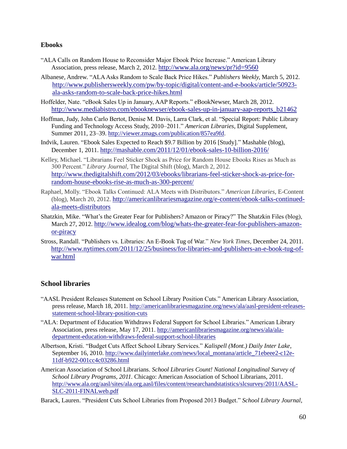#### **Ebooks**

- ―ALA Calls on Random House to Reconsider Major Ebook Price Increase.‖ American Library Association, press release, March 2, 2012. <http://www.ala.org/news/pr?id=9560>
- Albanese, Andrew. ―ALA Asks Random to Scale Back Price Hikes.‖ *Publishers Weekly,* March 5, 2012. [http://www.publishersweekly.com/pw/by-topic/digital/content-and-e-books/article/50923](http://www.publishersweekly.com/pw/by-topic/digital/content-and-e-books/article/50923-ala-asks-random-to-scale-back-price-hikes.html) [ala-asks-random-to-scale-back-price-hikes.html](http://www.publishersweekly.com/pw/by-topic/digital/content-and-e-books/article/50923-ala-asks-random-to-scale-back-price-hikes.html)
- Hoffelder, Nate. "eBook Sales Up in January, AAP Reports." eBookNewser, March 28, 2012. [http://www.mediabistro.com/ebooknewser/ebook-sales-up-in-january-aap-reports\\_b21462](http://www.mediabistro.com/ebooknewser/ebook-sales-up-in-january-aap-reports_b21462)
- Hoffman, Judy, John Carlo Bertot, Denise M. Davis, Larra Clark, et al. "Special Report: Public Library Funding and Technology Access Study, 2010–2011." American Libraries, Digital Supplement, Summer 2011, 23–39. [http://viewer.zmags.com/publication/857ea9fd.](http://viewer.zmags.com/publication/857ea9fd)
- Indvik, Lauren. "Ebook Sales Expected to Reach \$9.7 Billion by 2016 [Study]." Mashable (blog), December 1, 2011. <http://mashable.com/2011/12/01/ebook-sales-10-billion-2016/>
- Kelley, Michael. "Librarians Feel Sticker Shock as Price for Random House Ebooks Rises as Much as 300 Percent.‖ *Library Journal,* The Digital Shift (blog), March 2, 2012. [http://www.thedigitalshift.com/2012/03/ebooks/librarians-feel-sticker-shock-as-price-for](http://www.thedigitalshift.com/2012/03/ebooks/librarians-feel-sticker-shock-as-price-for-random-house-ebooks-rise-as-much-as-300-percent/)[random-house-ebooks-rise-as-much-as-300-percent/](http://www.thedigitalshift.com/2012/03/ebooks/librarians-feel-sticker-shock-as-price-for-random-house-ebooks-rise-as-much-as-300-percent/)
- Raphael, Molly. "Ebook Talks Continued: ALA Meets with Distributors." American Libraries, E-Content (blog), March 20, 2012. [http://americanlibrariesmagazine.org/e-content/ebook-talks-continued](http://americanlibrariesmagazine.org/e-content/ebook-talks-continued-ala-meets-distributors)[ala-meets-distributors](http://americanlibrariesmagazine.org/e-content/ebook-talks-continued-ala-meets-distributors)
- Shatzkin, Mike. "What's the Greater Fear for Publishers? Amazon or Piracy?" The Shatzkin Files (blog), March 27, 2012. [http://www.idealog.com/blog/whats-the-greater-fear-for-publishers-amazon](http://www.idealog.com/blog/whats-the-greater-fear-for-publishers-amazon-or-piracy)[or-piracy](http://www.idealog.com/blog/whats-the-greater-fear-for-publishers-amazon-or-piracy)
- Stross, Randall. ―Publishers vs. Libraries: An E-Book Tug of War.‖ *New York Times,* December 24, 2011. [http://www.nytimes.com/2011/12/25/business/for-libraries-and-publishers-an-e-book-tug-of](http://www.nytimes.com/2011/12/25/business/for-libraries-and-publishers-an-e-book-tug-of-war.html)[war.html](http://www.nytimes.com/2011/12/25/business/for-libraries-and-publishers-an-e-book-tug-of-war.html)

#### **School libraries**

- ―AASL President Releases Statement on School Library Position Cuts.‖ American Library Association, press release, March 18, 2011. [http://americanlibrariesmagazine.org/news/ala/aasl-president-releases](http://americanlibrariesmagazine.org/news/ala/aasl-president-releases-statement-school-library-position-cuts)[statement-school-library-position-cuts](http://americanlibrariesmagazine.org/news/ala/aasl-president-releases-statement-school-library-position-cuts)
- ―ALA: Department of Education Withdraws Federal Support for School Libraries.‖ American Library Association, press release, May 17, 2011. [http://americanlibrariesmagazine.org/news/ala/ala](http://americanlibrariesmagazine.org/news/ala/ala-department-education-withdraws-federal-support-school-libraries)[department-education-withdraws-federal-support-school-libraries](http://americanlibrariesmagazine.org/news/ala/ala-department-education-withdraws-federal-support-school-libraries)
- Albertson, Kristi. ―Budget Cuts Affect School Library Services.‖ *Kalispell (Mont.) Daily Inter Lake*, September 16, 2010. [http://www.dailyinterlake.com/news/local\\_montana/article\\_71ebeee2-c12e-](http://www.dailyinterlake.com/news/local_montana/article_71ebeee2-c12e-11df-b922-001cc4c03286.html)[11df-b922-001cc4c03286.html](http://www.dailyinterlake.com/news/local_montana/article_71ebeee2-c12e-11df-b922-001cc4c03286.html)
- American Association of School Librarians. *School Libraries Count! National Longitudinal Survey of School Library Programs, 2011.* Chicago: American Association of School Librarians, 2011. [http://www.ala.org/aasl/sites/ala.org.aasl/files/content/researchandstatistics/slcsurvey/2011/AASL-](http://www.ala.org/aasl/sites/ala.org.aasl/files/content/researchandstatistics/slcsurvey/2011/AASL-SLC-2011-FINALweb.pdf)[SLC-2011-FINALweb.pdf](http://www.ala.org/aasl/sites/ala.org.aasl/files/content/researchandstatistics/slcsurvey/2011/AASL-SLC-2011-FINALweb.pdf)

Barack, Lauren. "President Cuts School Libraries from Proposed 2013 Budget." *School Library Journal*,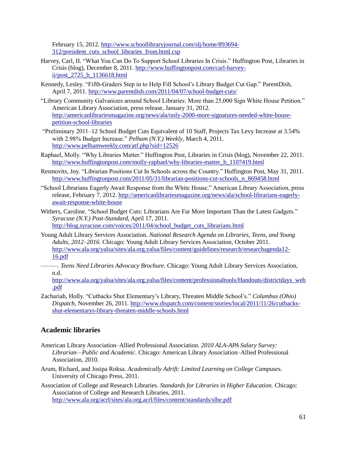February 15, 2012. [http://www.schoollibraryjournal.com/slj/home/893694-](http://www.schoollibraryjournal.com/slj/home/893694-312/president_cuts_school_libraries_from.html.csp) [312/president\\_cuts\\_school\\_libraries\\_from.html.csp](http://www.schoollibraryjournal.com/slj/home/893694-312/president_cuts_school_libraries_from.html.csp)

- Harvey, Carl, II. "What You Can Do To Support School Libraries In Crisis." Huffington Post, Libraries in Crisis (blog), December 8, 2011. [http://www.huffingtonpost.com/carl-harvey](http://www.huffingtonpost.com/carl-harvey-ii/post_2725_b_1136618.html)[ii/post\\_2725\\_b\\_1136618.html](http://www.huffingtonpost.com/carl-harvey-ii/post_2725_b_1136618.html)
- Kennedy, Lesley. "Fifth-Graders Step in to Help Fill School's Library Budget Cut Gap." ParentDish, April 7, 2011.<http://www.parentdish.com/2011/04/07/school-budget-cuts/>
- "Library Community Galvanizes around School Libraries: More than 25,000 Sign White House Petition." American Library Association, press release, January 31, 2012. [http://americanlibrariesmagazine.org/news/ala/only-2000-more-signatures-needed-white-house](http://americanlibrariesmagazine.org/news/ala/only-2000-more-signatures-needed-white-house-petition-school-libraries)[petition-school-libraries](http://americanlibrariesmagazine.org/news/ala/only-2000-more-signatures-needed-white-house-petition-school-libraries)
- ―Preliminary 2011–12 School Budget Cuts Equivalent of 10 Staff, Projects Tax Levy Increase at 3.54% with 2.98% Budget Increase." *Pelham (N.Y.) Weekly*, March 4, 2011. <http://www.pelhamweekly.com/atf.php?sid=12526>
- Raphael, Molly. "Why Libraries Matter." Huffington Post, Libraries in Crisis (blog), November 22, 2011. [http://www.huffingtonpost.com/molly-raphael/why-libraries-matter\\_b\\_1107419.html](http://www.huffingtonpost.com/molly-raphael/why-libraries-matter_b_1107419.html)
- Resmovits, Joy. "Librarian Positions Cut In Schools across the Country." Huffington Post, May 31, 2011. [http://www.huffingtonpost.com/2011/05/31/librarian-positions-cut-schools\\_n\\_869458.html](http://www.huffingtonpost.com/2011/05/31/librarian-positions-cut-schools_n_869458.html)
- ―School Librarians Eagerly Await Response from the White House.‖ American Library Association, press release, February 7, 2012. [http://americanlibrariesmagazine.org/news/ala/school-librarians-eagerly](http://americanlibrariesmagazine.org/news/ala/school-librarians-eagerly-await-response-white-house)[await-response-white-house](http://americanlibrariesmagazine.org/news/ala/school-librarians-eagerly-await-response-white-house)
- Withers, Caroline. "School Budget Cuts: Librarians Are Far More Important Than the Latest Gadgets." *Syracuse (N.Y.) Post-Standard*, April 17, 2011. [http://blog.syracuse.com/voices/2011/04/school\\_budget\\_cuts\\_librarians.html](http://blog.syracuse.com/voices/2011/04/school_budget_cuts_librarians.html)
- Young Adult Library Services Association. *National Research Agenda on Libraries, Teens, and Young Adults, 2012–2016.* Chicago: Young Adult Library Services Association, October 2011. [http://www.ala.org/yalsa/sites/ala.org.yalsa/files/content/guidelines/research/researchagenda12-](http://www.ala.org/yalsa/sites/ala.org.yalsa/files/content/guidelines/research/researchagenda12-16.pdf) [16.pdf](http://www.ala.org/yalsa/sites/ala.org.yalsa/files/content/guidelines/research/researchagenda12-16.pdf)
	- *———*. *Teens Need Libraries Advocacy Brochure.* Chicago: Young Adult Library Services Association, n.d.

[http://www.ala.org/yalsa/sites/ala.org.yalsa/files/content/professionaltools/Handouts/districtdays\\_web](http://www.ala.org/yalsa/sites/ala.org.yalsa/files/content/professionaltools/Handouts/districtdays_web.pdf) [.pdf](http://www.ala.org/yalsa/sites/ala.org.yalsa/files/content/professionaltools/Handouts/districtdays_web.pdf)

Zachariah, Holly. "Cutbacks Shut Elementary's Library, Threaten Middle School's." *Columbus (Ohio) Dispatch*, November 26, 2011. [http://www.dispatch.com/content/stories/local/2011/11/26/cutbacks](http://www.dispatch.com/content/stories/local/2011/11/26/cutbacks-shut-elementarys-library-threaten-middle-schools.html)[shut-elementarys-library-threaten-middle-schools.html](http://www.dispatch.com/content/stories/local/2011/11/26/cutbacks-shut-elementarys-library-threaten-middle-schools.html)

#### **Academic libraries**

- American Library Association–Allied Professional Association. *2010 ALA-APA Salary Survey: Librarian—Public and Academic.* Chicago: American Library Association–Allied Professional Association, 2010.
- Arum, Richard, and Josipa Roksa. *Academically Adrift: Limited Learning on College Campuses.* University of Chicago Press, 2011.
- Association of College and Research Libraries. *Standards for Libraries in Higher Education.* Chicago: Association of College and Research Libraries, 2011. <http://www.ala.org/acrl/sites/ala.org.acrl/files/content/standards/slhe.pdf>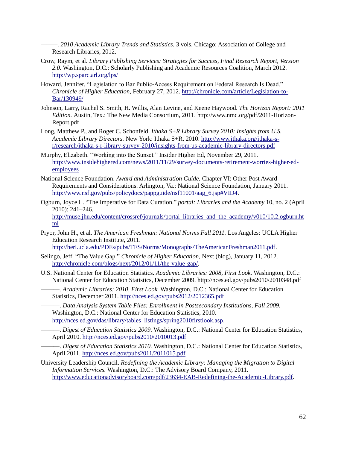*———*. *2010 Academic Library Trends and Statistics.* 3 vols. Chicago: Association of College and Research Libraries, 2012.

- Crow, Raym, et al. *Library Publishing Services: Strategies for Success, Final Research Report, Version 2.0.* Washington, D.C.: Scholarly Publishing and Academic Resources Coalition, March 2012. <http://wp.sparc.arl.org/lps/>
- Howard, Jennifer. "Legislation to Bar Public-Access Requirement on Federal Research Is Dead." *Chronicle of Higher Education,* February 27, 2012[. http://chronicle.com/article/Legislation-to-](http://chronicle.com/article/Legislation-to-Bar/130949/)[Bar/130949/](http://chronicle.com/article/Legislation-to-Bar/130949/)
- Johnson, Larry, Rachel S. Smith, H. Willis, Alan Levine, and Keene Haywood. *The Horizon Report: 2011 Edition.* Austin, Tex.: The New Media Consortium, 2011. http://www.nmc.org/pdf/2011-Horizon-Report.pdf
- Long, Matthew P., and Roger C. Schonfeld. *Ithaka S+R Library Survey 2010: Insights from U.S. Academic Library Directors.* New York: Ithaka S+R, 2010. [http://www.ithaka.org/ithaka-s](http://www.ithaka.org/ithaka-s-r/research/ithaka-s-r-library-survey-2010/insights-from-us-academic-library-directors.pdf)[r/research/ithaka-s-r-library-survey-2010/insights-from-us-academic-library-directors.pdf](http://www.ithaka.org/ithaka-s-r/research/ithaka-s-r-library-survey-2010/insights-from-us-academic-library-directors.pdf)
- Murphy, Elizabeth. "Working into the Sunset." Insider Higher Ed, November 29, 2011. [http://www.insidehighered.com/news/2011/11/29/survey-documents-retirement-worries-higher-ed](http://www.insidehighered.com/news/2011/11/29/survey-documents-retirement-worries-higher-ed-employees)[employees](http://www.insidehighered.com/news/2011/11/29/survey-documents-retirement-worries-higher-ed-employees)
- National Science Foundation. *Award and Administration Guide.* Chapter VI: Other Post Award Requirements and Considerations. Arlington, Va.: National Science Foundation, January 2011. [http://www.nsf.gov/pubs/policydocs/pappguide/nsf11001/aag\\_6.jsp#VID4.](http://www.nsf.gov/pubs/policydocs/pappguide/nsf11001/aag_6.jsp)
- Ogburn, Joyce L. ―The Imperative for Data Curation.‖ *portal: Libraries and the Academy* 10, no. 2 (April 2010): 241–246. [http://muse.jhu.edu/content/crossref/journals/portal\\_libraries\\_and\\_the\\_academy/v010/10.2.ogburn.ht](http://muse.jhu.edu/content/crossref/journals/portal_libraries_and_the_academy/v010/10.2.ogburn.html) [ml](http://muse.jhu.edu/content/crossref/journals/portal_libraries_and_the_academy/v010/10.2.ogburn.html)
- Pryor, John H., et al. *The American Freshman: National Norms Fall 2011.* Los Angeles: UCLA Higher Education Research Institute, 2011. [http://heri.ucla.edu/PDFs/pubs/TFS/Norms/Monographs/TheAmericanFreshman2011.pdf.](http://heri.ucla.edu/PDFs/pubs/TFS/Norms/Monographs/TheAmericanFreshman2011.pdf)
- Selingo, Jeff. "The Value Gap." *Chronicle of Higher Education*, Next (blog), January 11, 2012. [http://chronicle.com/blogs/next/2012/01/11/the-value-gap/.](http://chronicle.com/blogs/next/2012/01/11/the-value-gap/)
- U.S. National Center for Education Statistics. *Academic Libraries: 2008, First Look.* Washington, D.C.: National Center for Education Statistics, December 2009. http://nces.ed.gov/pubs2010/2010348.pdf
	- ———. *Academic Libraries: 2010, First Look.* Washington, D.C.: National Center for Education Statistics, December 2011.<http://nces.ed.gov/pubs2012/2012365.pdf>
	- ———. *Data Analysis System Table Files: Enrollment in Postsecondary Institutions, Fall 2009.*  Washington, D.C.: National Center for Education Statistics, 2010. [http://nces.ed.gov/das/library/tables\\_listings/spring2010firstlook.asp](http://nces.ed.gov/das/library/tables_listings/spring2010firstlook.asp).
- ———. *Digest of Education Statistics 2009.* Washington, D.C.: National Center for Education Statistics, April 2010.<http://nces.ed.gov/pubs2010/2010013.pdf>
	- ———. *Digest of Education Statistics 2010.* Washington, D.C.: National Center for Education Statistics, April 2011.<http://nces.ed.gov/pubs2011/2011015.pdf>
- University Leadership Council. *Redefining the Academic Library: Managing the Migration to Digital Information Services.* Washington, D.C.: The Advisory Board Company, 2011. [http://www.educationadvisoryboard.com/pdf/23634-EAB-Redefining-the-Academic-Library.pdf.](http://www.educationadvisoryboard.com/pdf/23634-EAB-Redefining-the-Academic-Library.pdf)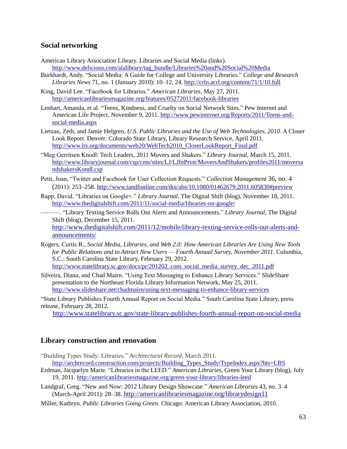#### **Social networking**

American Library Association Library. Libraries and Social Media (links).

[http://www.delicious.com/alalibrary/tag\\_bundle/Libraries%20and%20Social%20Media](http://www.delicious.com/alalibrary/tag_bundle/Libraries%20and%20Social%20Media)

- Burkhardt, Andy. "Social Media: A Guide for College and University Libraries." *College and Research Libraries News* 71, no. 1 (January 2010): 10–12, 24. <http://crln.acrl.org/content/71/1/10.full>
- King, David Lee. "Facebook for Libraries." *American Libraries*, May 27, 2011. <http://americanlibrariesmagazine.org/features/05272011/facebook-libraries>
- Lenhart, Amanda, et al. "Teens, Kindness, and Cruelty on Social Network Sites." Pew Internet and American Life Project, November 9, 2011. [http://www.pewinternet.org/Reports/2011/Teens-and](http://www.pewinternet.org/Reports/2011/Teens-and-social-media.aspx)[social-media.aspx](http://www.pewinternet.org/Reports/2011/Teens-and-social-media.aspx)
- Lietzau, Zeth, and Jamie Helgren, *U.S. Public Libraries and the Use of Web Technologies, 2010*. A Closer Look Report. Denver: Colorado State Library, Library Research Service, April 2011. [http://www.lrs.org/documents/web20/WebTech2010\\_CloserLookReport\\_Final.pdf](http://www.lrs.org/documents/web20/WebTech2010_CloserLookReport_Final.pdf)
- ―Meg Gerritsen Knodl: Tech Leaders, 2011 Movers and Shakers.‖ *Library Journal,* March 15, 2011. [http://www.libraryjournal.com/csp/cms/sites/LJ/LJInPrint/MoversAndShakers/profiles2011/moversa](http://www.libraryjournal.com/csp/cms/sites/LJ/LJInPrint/MoversAndShakers/profiles2011/moversandshakersKondl.csp) [ndshakersKondl.csp](http://www.libraryjournal.com/csp/cms/sites/LJ/LJInPrint/MoversAndShakers/profiles2011/moversandshakersKondl.csp)
- Petit, Joan, "Twitter and Facebook for User Collection Requests." *Collection Management* 36, no. 4 (2011): 253–258. <http://www.tandfonline.com/doi/abs/10.1080/01462679.2011.605830#preview>
- Rapp, David. "Libraries on Google+." *Library Journal*, The Digital Shift (blog), November 18, 2011. <http://www.thedigitalshift.com/2011/11/social-media/libraries-on-google/>

———. ―Library Texting Service Rolls Out Alerts and Announcements.‖ *Library Journal,* The Digital Shift (blog), December 15, 2011.

[http://www.thedigitalshift.com/2011/12/mobile/library-texting-service-rolls-out-alerts-and](http://www.thedigitalshift.com/2011/12/mobile/library-texting-service-rolls-out-alerts-and-announcements/)[announcements/](http://www.thedigitalshift.com/2011/12/mobile/library-texting-service-rolls-out-alerts-and-announcements/)

- Rogers, Curtis R., *Social Media, Libraries, and Web 2.0: How American Libraries Are Using New Tools for Public Relations and to Attract New Users — Fourth Annual Survey, November 2011.* Columbia, S.C.: South Carolina State Library, February 29, 2012. [http://www.statelibrary.sc.gov/docs/pr/201202\\_com\\_social\\_media\\_survey\\_dec\\_2011.pdf](http://www.statelibrary.sc.gov/docs/pr/201202_com_social_media_survey_dec_2011.pdf)
- Silveira, Diana, and Chad Mairn. "Using Text Messaging to Enhance Library Services." SlideShare presentation to the Northeast Florida Library Information Network, May 25, 2011. <http://www.slideshare.net/chadmairn/using-text-messaging-to-enhance-library-services>

―State Library Publishes Fourth Annual Report on Social Media.‖ South Carolina State Library, press release, February 28, 2012.

<http://www.statelibrary.sc.gov/state-library-publishes-fourth-annual-report-on-social-media>

#### **Library construction and renovation**

- ―Building Types Study: Libraries.‖ *Architectural Record,* March 2011. [http://archrecord.construction.com/projects/Building\\_Types\\_Study/TypeIndex.aspx?bts=LBS](http://archrecord.construction.com/projects/Building_Types_Study/TypeIndex.aspx?bts=LBS)
- Erdman, Jacquelyn Marie. "Libraries in the LEED." *American Libraries*, Green Your Library (blog), July 19, 2011.<http://americanlibrariesmagazine.org/green-your-library/libraries-leed>
- Landgraf, Greg. "New and Now: 2012 Library Design Showcase." *American Libraries* 43, no. 3-4 (March-April 2011): 28–38. <http://americanlibrariesmagazine.org/librarydesign11>
- Miller, Kathryn. *Public Libraries Going Green.* Chicago: American Library Association, 2010.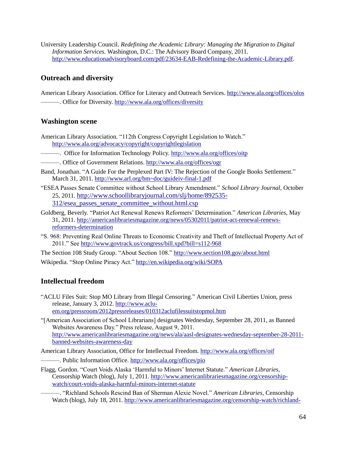University Leadership Council. *Redefining the Academic Library: Managing the Migration to Digital Information Services.* Washington, D.C.: The Advisory Board Company, 2011. [http://www.educationadvisoryboard.com/pdf/23634-EAB-Redefining-the-Academic-Library.pdf.](http://www.educationadvisoryboard.com/pdf/23634-EAB-Redefining-the-Academic-Library.pdf)

#### **Outreach and diversity**

American Library Association. Office for Literacy and Outreach Services. <http://www.ala.org/offices/olos> ———. Office for Diversity. <http://www.ala.org/offices/diversity>

#### **Washington scene**

American Library Association. "112th Congress Copyright Legislation to Watch." <http://www.ala.org/advocacy/copyright/copyrightlegislation>

- ———. Office for Information Technology Policy. <http://www.ala.org/offices/oitp>
- ———. Office of Government Relations. <http://www.ala.org/offices/ogr>
- Band, Jonathan. "A Guide For the Perplexed Part IV: The Rejection of the Google Books Settlement." March 31, 2011. <http://www.arl.org/bm~doc/guideiv-final-1.pdf>
- ―ESEA Passes Senate Committee without School Library Amendment.‖ *School Library Journal,* October 25, 2011. [http://www.schoollibraryjournal.com/slj/home/892535-](http://www.schoollibraryjournal.com/slj/home/892535-312/esea_passes_senate_committee_without.html.csp) [312/esea\\_passes\\_senate\\_committee\\_without.html.csp](http://www.schoollibraryjournal.com/slj/home/892535-312/esea_passes_senate_committee_without.html.csp)
- Goldberg, Beverly. ―Patriot Act Renewal Renews Reformers' Determination.‖ *American Libraries,* May 31, 2011. [http://americanlibrariesmagazine.org/news/05302011/patriot-act-renewal-renews](http://americanlibrariesmagazine.org/news/05302011/patriot-act-renewal-renews-reformers-determination)[reformers-determination](http://americanlibrariesmagazine.org/news/05302011/patriot-act-renewal-renews-reformers-determination)
- ―S. 968: Preventing Real Online Threats to Economic Creativity and Theft of Intellectual Property Act of 2011." Se[e http://www.govtrack.us/congress/bill.xpd?bill=s112-968](http://www.govtrack.us/congress/bill.xpd?bill=s112-968)

The Section 108 Study Group. "About Section 108."<http://www.section108.gov/about.html>

Wikipedia. "Stop Online Piracy Act."<http://en.wikipedia.org/wiki/SOPA>

#### **Intellectual freedom**

―ACLU Files Suit: Stop MO Library from Illegal Censoring.‖ American Civil Liberties Union, press release, January 3, 2012. [http://www.aclu](http://www.aclu-em.org/pressroom/2012pressreleases/010312aclufilessuitstopmol.htm)[em.org/pressroom/2012pressreleases/010312aclufilessuitstopmol.htm](http://www.aclu-em.org/pressroom/2012pressreleases/010312aclufilessuitstopmol.htm)

―[American Association of School Librarians] designates Wednesday, September 28, 2011, as Banned Websites Awareness Day." Press release, August 9, 2011. [http://www.americanlibrariesmagazine.org/news/ala/aasl-designates-wednesday-september-28-2011](http://www.americanlibrariesmagazine.org/news/ala/aasl-designates-wednesday-september-28-2011-banned-websites-awareness-day) [banned-websites-awareness-day](http://www.americanlibrariesmagazine.org/news/ala/aasl-designates-wednesday-september-28-2011-banned-websites-awareness-day)

American Library Association, Office for Intellectual Freedom. <http://www.ala.org/offices/oif>

- ———. Public Information Office. <http://www.ala.org/offices/pio>
- Flagg, Gordon. ―Court Voids Alaska ‗Harmful to Minors' Internet Statute.‖ *American Libraries,* Censorship Watch (blog), July 1, 2011. [http://www.americanlibrariesmagazine.org/censorship](http://www.americanlibrariesmagazine.org/censorship-watch/court-voids-alaska-harmful-minors-internet-statute)[watch/court-voids-alaska-harmful-minors-internet-statute](http://www.americanlibrariesmagazine.org/censorship-watch/court-voids-alaska-harmful-minors-internet-statute)

———. ―Richland Schools Rescind Ban of Sherman Alexie Novel.‖ *American Libraries,* Censorship Watch (blog), July 18, 2011. [http://www.americanlibrariesmagazine.org/censorship-watch/richland-](http://www.americanlibrariesmagazine.org/censorship-watch/richland-schools-rescind-ban-sherman-alexie-novel)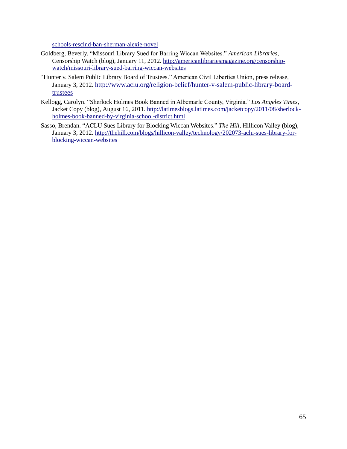schools-rescind-ban-sherman-alexie-novel

- Goldberg, Beverly. "Missouri Library Sued for Barring Wiccan Websites." American Libraries, Censorship Watch (blog), January 11, 2012[. http://americanlibrariesmagazine.org/censorship](http://americanlibrariesmagazine.org/censorship-watch/missouri-library-sued-barring-wiccan-websites)[watch/missouri-library-sued-barring-wiccan-websites](http://americanlibrariesmagazine.org/censorship-watch/missouri-library-sued-barring-wiccan-websites)
- "Hunter v. Salem Public Library Board of Trustees." American Civil Liberties Union, press release, January 3, 2012. [http://www.aclu.org/religion-belief/hunter-v-salem-public-library-board](http://www.aclu.org/religion-belief/hunter-v-salem-public-library-board-trustees)[trustees](http://www.aclu.org/religion-belief/hunter-v-salem-public-library-board-trustees)
- Kellogg, Carolyn. "Sherlock Holmes Book Banned in Albemarle County, Virginia." Los Angeles Times, Jacket Copy (blog), August 16, 2011. [http://latimesblogs.latimes.com/jacketcopy/2011/08/sherlock](http://latimesblogs.latimes.com/jacketcopy/2011/08/sherlock-holmes-book-banned-by-virginia-school-district.html)[holmes-book-banned-by-virginia-school-district.html](http://latimesblogs.latimes.com/jacketcopy/2011/08/sherlock-holmes-book-banned-by-virginia-school-district.html)
- Sasso, Brendan. "ACLU Sues Library for Blocking Wiccan Websites." The Hill, Hillicon Valley (blog), January 3, 2012. [http://thehill.com/blogs/hillicon-valley/technology/202073-aclu-sues-library-for](http://thehill.com/blogs/hillicon-valley/technology/202073-aclu-sues-library-for-blocking-wiccan-websites)[blocking-wiccan-websites](http://thehill.com/blogs/hillicon-valley/technology/202073-aclu-sues-library-for-blocking-wiccan-websites)